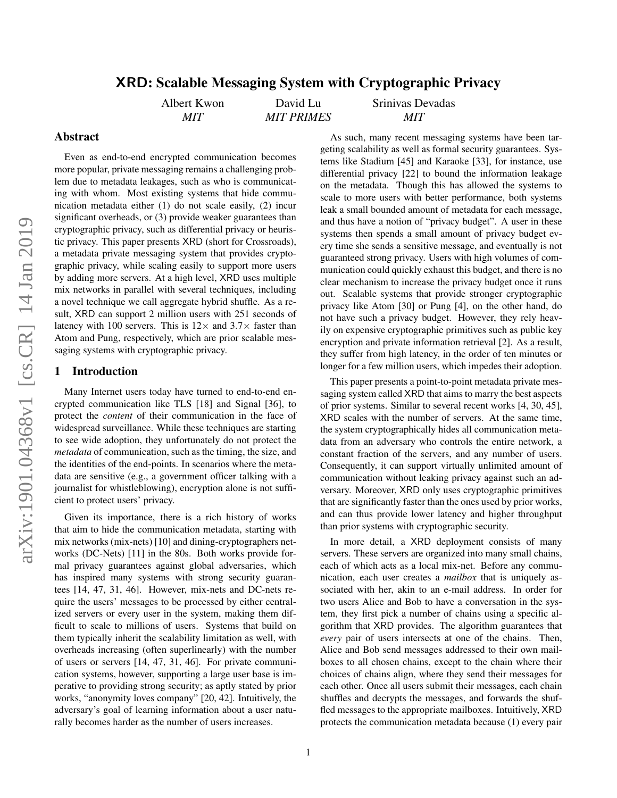# XRD: Scalable Messaging System with Cryptographic Privacy

Albert Kwon *MIT*

David Lu *MIT PRIMES* Srinivas Devadas *MIT*

## Abstract

Even as end-to-end encrypted communication becomes more popular, private messaging remains a challenging problem due to metadata leakages, such as who is communicating with whom. Most existing systems that hide communication metadata either (1) do not scale easily, (2) incur significant overheads, or (3) provide weaker guarantees than cryptographic privacy, such as differential privacy or heuristic privacy. This paper presents XRD (short for Crossroads), a metadata private messaging system that provides cryptographic privacy, while scaling easily to support more users by adding more servers. At a high level, XRD uses multiple mix networks in parallel with several techniques, including a novel technique we call aggregate hybrid shuffle. As a result, XRD can support 2 million users with 251 seconds of latency with 100 servers. This is  $12 \times$  and  $3.7 \times$  faster than Atom and Pung, respectively, which are prior scalable messaging systems with cryptographic privacy.

# 1 Introduction

Many Internet users today have turned to end-to-end encrypted communication like TLS [\[18\]](#page-12-0) and Signal [\[36\]](#page-13-0), to protect the *content* of their communication in the face of widespread surveillance. While these techniques are starting to see wide adoption, they unfortunately do not protect the *metadata* of communication, such as the timing, the size, and the identities of the end-points. In scenarios where the metadata are sensitive (e.g., a government officer talking with a journalist for whistleblowing), encryption alone is not sufficient to protect users' privacy.

Given its importance, there is a rich history of works that aim to hide the communication metadata, starting with mix networks (mix-nets) [\[10\]](#page-12-1) and dining-cryptographers networks (DC-Nets) [\[11\]](#page-12-2) in the 80s. Both works provide formal privacy guarantees against global adversaries, which has inspired many systems with strong security guarantees [\[14,](#page-12-3) [47,](#page-14-0) [31,](#page-13-1) [46\]](#page-14-1). However, mix-nets and DC-nets require the users' messages to be processed by either centralized servers or every user in the system, making them difficult to scale to millions of users. Systems that build on them typically inherit the scalability limitation as well, with overheads increasing (often superlinearly) with the number of users or servers [\[14,](#page-12-3) [47,](#page-14-0) [31,](#page-13-1) [46\]](#page-14-1). For private communication systems, however, supporting a large user base is imperative to providing strong security; as aptly stated by prior works, "anonymity loves company" [\[20,](#page-12-4) [42\]](#page-13-2). Intuitively, the adversary's goal of learning information about a user naturally becomes harder as the number of users increases.

As such, many recent messaging systems have been targeting scalability as well as formal security guarantees. Systems like Stadium [\[45\]](#page-13-3) and Karaoke [\[33\]](#page-13-4), for instance, use differential privacy [\[22\]](#page-13-5) to bound the information leakage on the metadata. Though this has allowed the systems to scale to more users with better performance, both systems leak a small bounded amount of metadata for each message, and thus have a notion of "privacy budget". A user in these systems then spends a small amount of privacy budget every time she sends a sensitive message, and eventually is not guaranteed strong privacy. Users with high volumes of communication could quickly exhaust this budget, and there is no clear mechanism to increase the privacy budget once it runs out. Scalable systems that provide stronger cryptographic privacy like Atom [\[30\]](#page-13-6) or Pung [\[4\]](#page-12-5), on the other hand, do not have such a privacy budget. However, they rely heavily on expensive cryptographic primitives such as public key encryption and private information retrieval [\[2\]](#page-12-6). As a result, they suffer from high latency, in the order of ten minutes or longer for a few million users, which impedes their adoption.

This paper presents a point-to-point metadata private messaging system called XRD that aims to marry the best aspects of prior systems. Similar to several recent works [\[4,](#page-12-5) [30,](#page-13-6) [45\]](#page-13-3), XRD scales with the number of servers. At the same time, the system cryptographically hides all communication metadata from an adversary who controls the entire network, a constant fraction of the servers, and any number of users. Consequently, it can support virtually unlimited amount of communication without leaking privacy against such an adversary. Moreover, XRD only uses cryptographic primitives that are significantly faster than the ones used by prior works, and can thus provide lower latency and higher throughput than prior systems with cryptographic security.

In more detail, a XRD deployment consists of many servers. These servers are organized into many small chains, each of which acts as a local mix-net. Before any communication, each user creates a *mailbox* that is uniquely associated with her, akin to an e-mail address. In order for two users Alice and Bob to have a conversation in the system, they first pick a number of chains using a specific algorithm that XRD provides. The algorithm guarantees that *every* pair of users intersects at one of the chains. Then, Alice and Bob send messages addressed to their own mailboxes to all chosen chains, except to the chain where their choices of chains align, where they send their messages for each other. Once all users submit their messages, each chain shuffles and decrypts the messages, and forwards the shuffled messages to the appropriate mailboxes. Intuitively, XRD protects the communication metadata because (1) every pair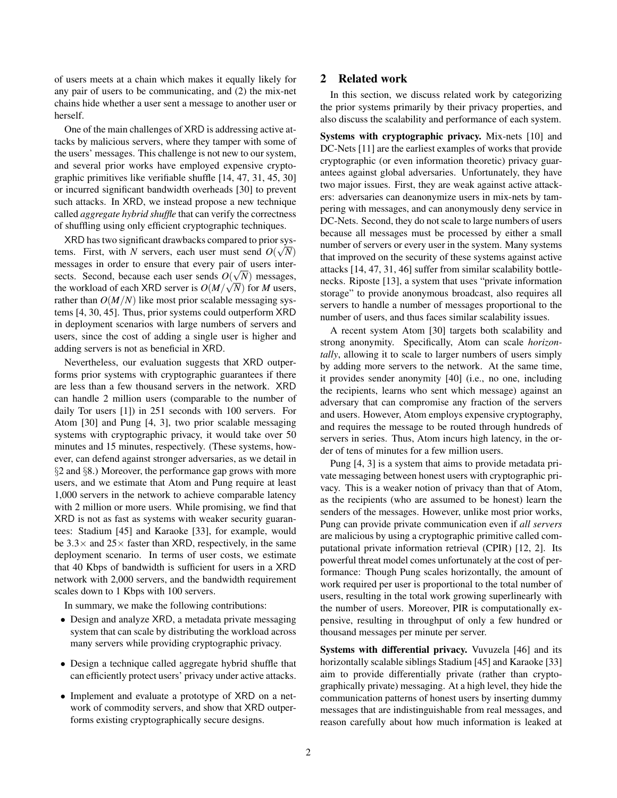of users meets at a chain which makes it equally likely for any pair of users to be communicating, and (2) the mix-net chains hide whether a user sent a message to another user or herself.

One of the main challenges of XRD is addressing active attacks by malicious servers, where they tamper with some of the users' messages. This challenge is not new to our system, and several prior works have employed expensive cryptographic primitives like verifiable shuffle [\[14,](#page-12-3) [47,](#page-14-0) [31,](#page-13-1) [45,](#page-13-3) [30\]](#page-13-6) or incurred significant bandwidth overheads [\[30\]](#page-13-6) to prevent such attacks. In XRD, we instead propose a new technique called *aggregate hybrid shuffle* that can verify the correctness of shuffling using only efficient cryptographic techniques.

XRD has two significant drawbacks compared to prior sys-√ tems. First, with *N* servers, each user must send  $O(\sqrt{N})$ messages in order to ensure that every pair of users intersects. Second, because each user sends  $O(\sqrt{N})$  messages, the workload of each XRD server is  $O(M/\sqrt{N})$  for *M* users, rather than  $O(M/N)$  like most prior scalable messaging systems [\[4,](#page-12-5) [30,](#page-13-6) [45\]](#page-13-3). Thus, prior systems could outperform XRD in deployment scenarios with large numbers of servers and users, since the cost of adding a single user is higher and adding servers is not as beneficial in XRD.

Nevertheless, our evaluation suggests that XRD outperforms prior systems with cryptographic guarantees if there are less than a few thousand servers in the network. XRD can handle 2 million users (comparable to the number of daily Tor users [\[1\]](#page-12-7)) in 251 seconds with 100 servers. For Atom [\[30\]](#page-13-6) and Pung [\[4,](#page-12-5) [3\]](#page-12-8), two prior scalable messaging systems with cryptographic privacy, it would take over 50 minutes and 15 minutes, respectively. (These systems, however, can defend against stronger adversaries, as we detail in §[2](#page-1-0) and §[8.](#page-8-0)) Moreover, the performance gap grows with more users, and we estimate that Atom and Pung require at least 1,000 servers in the network to achieve comparable latency with 2 million or more users. While promising, we find that XRD is not as fast as systems with weaker security guarantees: Stadium [\[45\]](#page-13-3) and Karaoke [\[33\]](#page-13-4), for example, would be  $3.3\times$  and  $25\times$  faster than XRD, respectively, in the same deployment scenario. In terms of user costs, we estimate that 40 Kbps of bandwidth is sufficient for users in a XRD network with 2,000 servers, and the bandwidth requirement scales down to 1 Kbps with 100 servers.

In summary, we make the following contributions:

- Design and analyze XRD, a metadata private messaging system that can scale by distributing the workload across many servers while providing cryptographic privacy.
- Design a technique called aggregate hybrid shuffle that can efficiently protect users' privacy under active attacks.
- Implement and evaluate a prototype of XRD on a network of commodity servers, and show that XRD outperforms existing cryptographically secure designs.

# <span id="page-1-0"></span>2 Related work

In this section, we discuss related work by categorizing the prior systems primarily by their privacy properties, and also discuss the scalability and performance of each system.

Systems with cryptographic privacy. Mix-nets [\[10\]](#page-12-1) and DC-Nets [\[11\]](#page-12-2) are the earliest examples of works that provide cryptographic (or even information theoretic) privacy guarantees against global adversaries. Unfortunately, they have two major issues. First, they are weak against active attackers: adversaries can deanonymize users in mix-nets by tampering with messages, and can anonymously deny service in DC-Nets. Second, they do not scale to large numbers of users because all messages must be processed by either a small number of servers or every user in the system. Many systems that improved on the security of these systems against active attacks [\[14,](#page-12-3) [47,](#page-14-0) [31,](#page-13-1) [46\]](#page-14-1) suffer from similar scalability bottlenecks. Riposte [\[13\]](#page-12-9), a system that uses "private information storage" to provide anonymous broadcast, also requires all servers to handle a number of messages proportional to the number of users, and thus faces similar scalability issues.

A recent system Atom [\[30\]](#page-13-6) targets both scalability and strong anonymity. Specifically, Atom can scale *horizontally*, allowing it to scale to larger numbers of users simply by adding more servers to the network. At the same time, it provides sender anonymity [\[40\]](#page-13-7) (i.e., no one, including the recipients, learns who sent which message) against an adversary that can compromise any fraction of the servers and users. However, Atom employs expensive cryptography, and requires the message to be routed through hundreds of servers in series. Thus, Atom incurs high latency, in the order of tens of minutes for a few million users.

Pung [\[4,](#page-12-5) [3\]](#page-12-8) is a system that aims to provide metadata private messaging between honest users with cryptographic privacy. This is a weaker notion of privacy than that of Atom, as the recipients (who are assumed to be honest) learn the senders of the messages. However, unlike most prior works, Pung can provide private communication even if *all servers* are malicious by using a cryptographic primitive called computational private information retrieval (CPIR) [\[12,](#page-12-10) [2\]](#page-12-6). Its powerful threat model comes unfortunately at the cost of performance: Though Pung scales horizontally, the amount of work required per user is proportional to the total number of users, resulting in the total work growing superlinearly with the number of users. Moreover, PIR is computationally expensive, resulting in throughput of only a few hundred or thousand messages per minute per server.

Systems with differential privacy. Vuvuzela [\[46\]](#page-14-1) and its horizontally scalable siblings Stadium [\[45\]](#page-13-3) and Karaoke [\[33\]](#page-13-4) aim to provide differentially private (rather than cryptographically private) messaging. At a high level, they hide the communication patterns of honest users by inserting dummy messages that are indistinguishable from real messages, and reason carefully about how much information is leaked at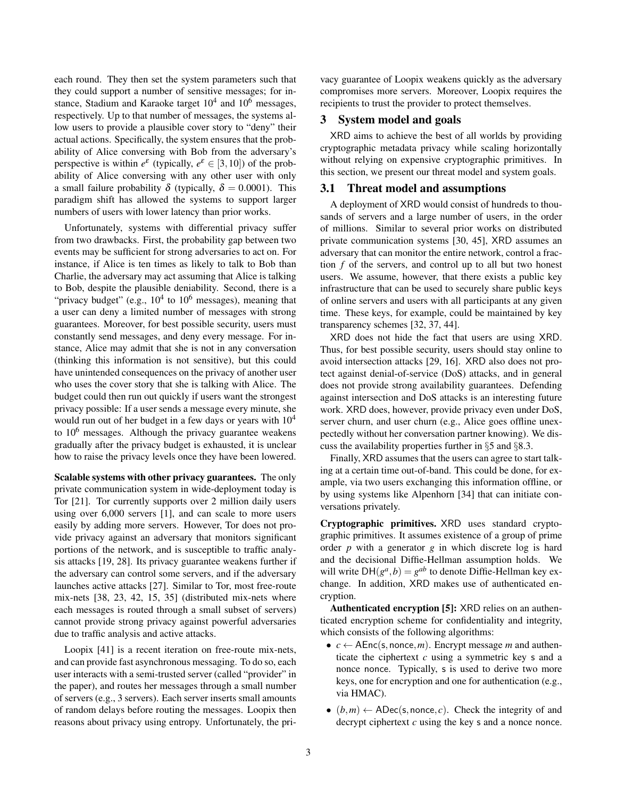each round. They then set the system parameters such that they could support a number of sensitive messages; for instance, Stadium and Karaoke target  $10^4$  and  $10^6$  messages, respectively. Up to that number of messages, the systems allow users to provide a plausible cover story to "deny" their actual actions. Specifically, the system ensures that the probability of Alice conversing with Bob from the adversary's perspective is within  $e^{\varepsilon}$  (typically,  $e^{\varepsilon} \in [3, 10]$ ) of the probability of Alice conversing with any other user with only a small failure probability  $\delta$  (typically,  $\delta = 0.0001$ ). This paradigm shift has allowed the systems to support larger numbers of users with lower latency than prior works.

Unfortunately, systems with differential privacy suffer from two drawbacks. First, the probability gap between two events may be sufficient for strong adversaries to act on. For instance, if Alice is ten times as likely to talk to Bob than Charlie, the adversary may act assuming that Alice is talking to Bob, despite the plausible deniability. Second, there is a "privacy budget" (e.g.,  $10^4$  to  $10^6$  messages), meaning that a user can deny a limited number of messages with strong guarantees. Moreover, for best possible security, users must constantly send messages, and deny every message. For instance, Alice may admit that she is not in any conversation (thinking this information is not sensitive), but this could have unintended consequences on the privacy of another user who uses the cover story that she is talking with Alice. The budget could then run out quickly if users want the strongest privacy possible: If a user sends a message every minute, she would run out of her budget in a few days or years with  $10^4$ to  $10<sup>6</sup>$  messages. Although the privacy guarantee weakens gradually after the privacy budget is exhausted, it is unclear how to raise the privacy levels once they have been lowered.

Scalable systems with other privacy guarantees. The only private communication system in wide-deployment today is Tor [\[21\]](#page-12-11). Tor currently supports over 2 million daily users using over 6,000 servers [\[1\]](#page-12-7), and can scale to more users easily by adding more servers. However, Tor does not provide privacy against an adversary that monitors significant portions of the network, and is susceptible to traffic analysis attacks [\[19,](#page-12-12) [28\]](#page-13-8). Its privacy guarantee weakens further if the adversary can control some servers, and if the adversary launches active attacks [\[27\]](#page-13-9). Similar to Tor, most free-route mix-nets [\[38,](#page-13-10) [23,](#page-13-11) [42,](#page-13-2) [15,](#page-12-13) [35\]](#page-13-12) (distributed mix-nets where each messages is routed through a small subset of servers) cannot provide strong privacy against powerful adversaries due to traffic analysis and active attacks.

Loopix [\[41\]](#page-13-13) is a recent iteration on free-route mix-nets, and can provide fast asynchronous messaging. To do so, each user interacts with a semi-trusted server (called "provider" in the paper), and routes her messages through a small number of servers (e.g., 3 servers). Each server inserts small amounts of random delays before routing the messages. Loopix then reasons about privacy using entropy. Unfortunately, the pri-

vacy guarantee of Loopix weakens quickly as the adversary compromises more servers. Moreover, Loopix requires the recipients to trust the provider to protect themselves.

# <span id="page-2-0"></span>3 System model and goals

XRD aims to achieve the best of all worlds by providing cryptographic metadata privacy while scaling horizontally without relying on expensive cryptographic primitives. In this section, we present our threat model and system goals.

# 3.1 Threat model and assumptions

A deployment of XRD would consist of hundreds to thousands of servers and a large number of users, in the order of millions. Similar to several prior works on distributed private communication systems [\[30,](#page-13-6) [45\]](#page-13-3), XRD assumes an adversary that can monitor the entire network, control a fraction *f* of the servers, and control up to all but two honest users. We assume, however, that there exists a public key infrastructure that can be used to securely share public keys of online servers and users with all participants at any given time. These keys, for example, could be maintained by key transparency schemes [\[32,](#page-13-14) [37,](#page-13-15) [44\]](#page-13-16).

XRD does not hide the fact that users are using XRD. Thus, for best possible security, users should stay online to avoid intersection attacks [\[29,](#page-13-17) [16\]](#page-12-14). XRD also does not protect against denial-of-service (DoS) attacks, and in general does not provide strong availability guarantees. Defending against intersection and DoS attacks is an interesting future work. XRD does, however, provide privacy even under DoS, server churn, and user churn (e.g., Alice goes offline unexpectedly without her conversation partner knowing). We discuss the availability properties further in §[5](#page-4-0) and §[8.3.](#page-11-0)

Finally, XRD assumes that the users can agree to start talking at a certain time out-of-band. This could be done, for example, via two users exchanging this information offline, or by using systems like Alpenhorn [\[34\]](#page-13-18) that can initiate conversations privately.

Cryptographic primitives. XRD uses standard cryptographic primitives. It assumes existence of a group of prime order *p* with a generator *g* in which discrete log is hard and the decisional Diffie-Hellman assumption holds. We will write  $DH(g^a, b) = g^{ab}$  to denote Diffie-Hellman key exchange. In addition, XRD makes use of authenticated encryption.

Authenticated encryption [\[5\]](#page-12-15): XRD relies on an authenticated encryption scheme for confidentiality and integrity, which consists of the following algorithms:

- $c \leftarrow$  AEnc(s, nonce, *m*). Encrypt message *m* and authenticate the ciphertext  $c$  using a symmetric key  $s$  and a nonce nonce. Typically, s is used to derive two more keys, one for encryption and one for authentication (e.g., via HMAC).
- $(b,m) \leftarrow \text{ADE}(s, \text{none}, c)$ . Check the integrity of and decrypt ciphertext *c* using the key *s* and a nonce nonce.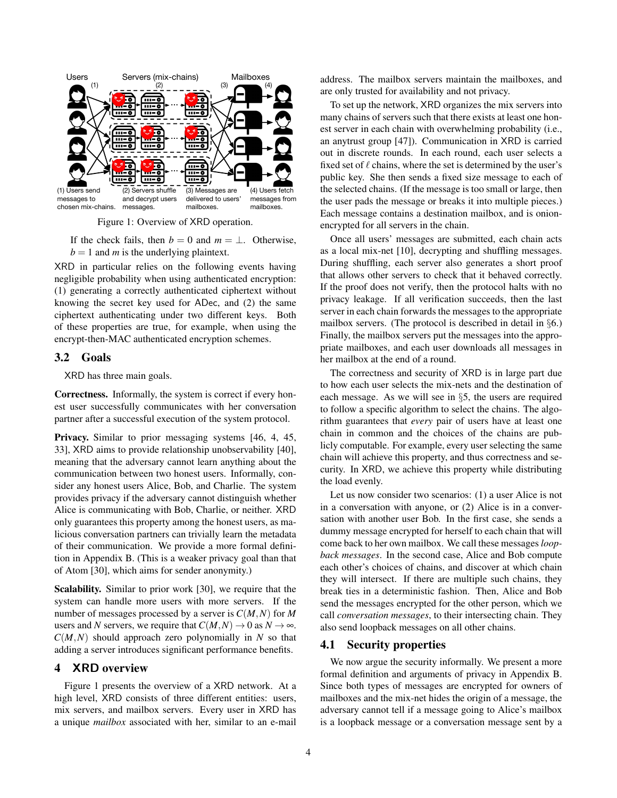

<span id="page-3-0"></span>Figure 1: Overview of XRD operation.

If the check fails, then  $b = 0$  and  $m = \perp$ . Otherwise,  $b = 1$  and *m* is the underlying plaintext.

XRD in particular relies on the following events having negligible probability when using authenticated encryption: (1) generating a correctly authenticated ciphertext without knowing the secret key used for ADec, and (2) the same ciphertext authenticating under two different keys. Both of these properties are true, for example, when using the encrypt-then-MAC authenticated encryption schemes.

### <span id="page-3-1"></span>3.2 Goals

XRD has three main goals.

Correctness. Informally, the system is correct if every honest user successfully communicates with her conversation partner after a successful execution of the system protocol.

Privacy. Similar to prior messaging systems [\[46,](#page-14-1) [4,](#page-12-5) [45,](#page-13-3) [33\]](#page-13-4), XRD aims to provide relationship unobservability [\[40\]](#page-13-7), meaning that the adversary cannot learn anything about the communication between two honest users. Informally, consider any honest users Alice, Bob, and Charlie. The system provides privacy if the adversary cannot distinguish whether Alice is communicating with Bob, Charlie, or neither. XRD only guarantees this property among the honest users, as malicious conversation partners can trivially learn the metadata of their communication. We provide a more formal definition in Appendix [B.](#page-15-0) (This is a weaker privacy goal than that of Atom [\[30\]](#page-13-6), which aims for sender anonymity.)

Scalability. Similar to prior work [\[30\]](#page-13-6), we require that the system can handle more users with more servers. If the number of messages processed by a server is *C*(*M*,*N*) for *M* users and *N* servers, we require that  $C(M,N) \to 0$  as  $N \to \infty$ .  $C(M, N)$  should approach zero polynomially in *N* so that adding a server introduces significant performance benefits.

# <span id="page-3-2"></span>4 XRD overview

Figure [1](#page-3-0) presents the overview of a XRD network. At a high level, XRD consists of three different entities: users, mix servers, and mailbox servers. Every user in XRD has a unique *mailbox* associated with her, similar to an e-mail address. The mailbox servers maintain the mailboxes, and are only trusted for availability and not privacy.

To set up the network, XRD organizes the mix servers into many chains of servers such that there exists at least one honest server in each chain with overwhelming probability (i.e., an anytrust group [\[47\]](#page-14-0)). Communication in XRD is carried out in discrete rounds. In each round, each user selects a fixed set of  $\ell$  chains, where the set is determined by the user's public key. She then sends a fixed size message to each of the selected chains. (If the message is too small or large, then the user pads the message or breaks it into multiple pieces.) Each message contains a destination mailbox, and is onionencrypted for all servers in the chain.

Once all users' messages are submitted, each chain acts as a local mix-net [\[10\]](#page-12-1), decrypting and shuffling messages. During shuffling, each server also generates a short proof that allows other servers to check that it behaved correctly. If the proof does not verify, then the protocol halts with no privacy leakage. If all verification succeeds, then the last server in each chain forwards the messages to the appropriate mailbox servers. (The protocol is described in detail in §[6.](#page-6-0)) Finally, the mailbox servers put the messages into the appropriate mailboxes, and each user downloads all messages in her mailbox at the end of a round.

The correctness and security of XRD is in large part due to how each user selects the mix-nets and the destination of each message. As we will see in §[5,](#page-4-0) the users are required to follow a specific algorithm to select the chains. The algorithm guarantees that *every* pair of users have at least one chain in common and the choices of the chains are publicly computable. For example, every user selecting the same chain will achieve this property, and thus correctness and security. In XRD, we achieve this property while distributing the load evenly.

Let us now consider two scenarios: (1) a user Alice is not in a conversation with anyone, or (2) Alice is in a conversation with another user Bob. In the first case, she sends a dummy message encrypted for herself to each chain that will come back to her own mailbox. We call these messages *loopback messages*. In the second case, Alice and Bob compute each other's choices of chains, and discover at which chain they will intersect. If there are multiple such chains, they break ties in a deterministic fashion. Then, Alice and Bob send the messages encrypted for the other person, which we call *conversation messages*, to their intersecting chain. They also send loopback messages on all other chains.

## 4.1 Security properties

We now argue the security informally. We present a more formal definition and arguments of privacy in Appendix [B.](#page-15-0) Since both types of messages are encrypted for owners of mailboxes and the mix-net hides the origin of a message, the adversary cannot tell if a message going to Alice's mailbox is a loopback message or a conversation message sent by a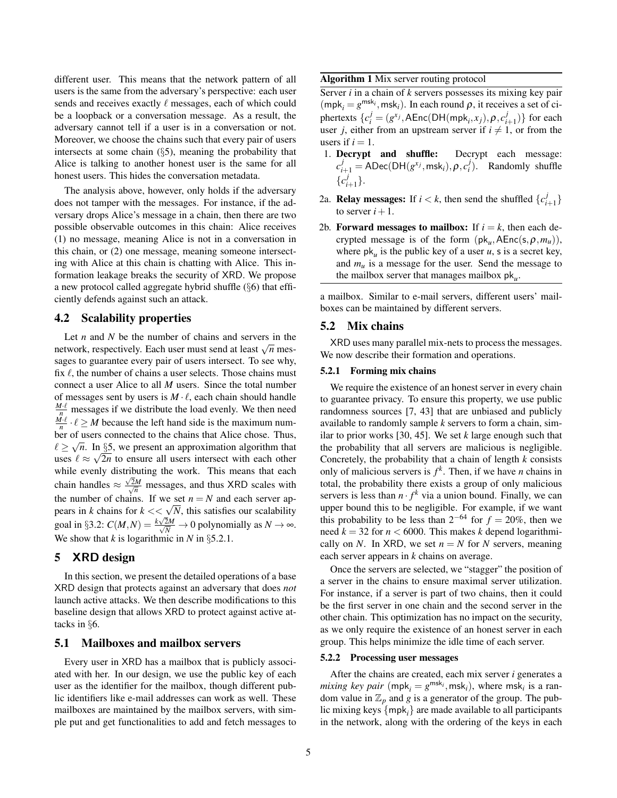different user. This means that the network pattern of all users is the same from the adversary's perspective: each user sends and receives exactly  $\ell$  messages, each of which could be a loopback or a conversation message. As a result, the adversary cannot tell if a user is in a conversation or not. Moreover, we choose the chains such that every pair of users intersects at some chain (§[5\)](#page-4-0), meaning the probability that Alice is talking to another honest user is the same for all honest users. This hides the conversation metadata.

The analysis above, however, only holds if the adversary does not tamper with the messages. For instance, if the adversary drops Alice's message in a chain, then there are two possible observable outcomes in this chain: Alice receives (1) no message, meaning Alice is not in a conversation in this chain, or (2) one message, meaning someone intersecting with Alice at this chain is chatting with Alice. This information leakage breaks the security of XRD. We propose a new protocol called aggregate hybrid shuffle (§[6\)](#page-6-0) that efficiently defends against such an attack.

### <span id="page-4-3"></span>4.2 Scalability properties

Let *n* and *N* be the number of chains and servers in the Let *n* and *N* be the number of chains and servers in the network, respectively. Each user must send at least  $\sqrt{n}$  messages to guarantee every pair of users intersect. To see why, fix  $\ell$ , the number of chains a user selects. Those chains must connect a user Alice to all *M* users. Since the total number of messages sent by users is  $M \cdot \ell$ , each chain should handle  $\frac{M\ell}{n}$  messages if we distribute the load evenly. We then need  $\frac{M\ell}{n} \cdot \ell \geq M$  because the left hand side is the maximum number of users connected to the chains that Alice chose. Thus,  $\ell \geq \sqrt{n}$ . In §[5,](#page-4-0) we present an approximation algorithm that uses  $\ell \approx \sqrt{2n}$  to ensure all users intersect with each other while evenly distributing the work. This means that each chain handles  $\approx \frac{\sqrt{2}M}{\sqrt{n}}$  messages, and thus XRD scales with the number of chains. If we set  $n = N$  and each server ap-The number of chains. If we set  $n = N$  and each server appears in *k* chains for  $k \ll \sqrt{N}$ , this satisfies our scalability goal in §[3.2:](#page-3-1)  $C(M, N) = \frac{k\sqrt{2M}}{\sqrt{N}} \to 0$  polynomially as  $N \to \infty$ . We show that  $k$  is logarithmic in  $N$  in §[5.2.1.](#page-4-1)

### <span id="page-4-0"></span>5 XRD design

In this section, we present the detailed operations of a base XRD design that protects against an adversary that does *not* launch active attacks. We then describe modifications to this baseline design that allows XRD to protect against active attacks in §[6.](#page-6-0)

## 5.1 Mailboxes and mailbox servers

Every user in XRD has a mailbox that is publicly associated with her. In our design, we use the public key of each user as the identifier for the mailbox, though different public identifiers like e-mail addresses can work as well. These mailboxes are maintained by the mailbox servers, with simple put and get functionalities to add and fetch messages to

### <span id="page-4-2"></span>Algorithm 1 Mix server routing protocol

Server *i* in a chain of *k* servers possesses its mixing key pair  $(mpk<sub>i</sub> = g<sup>msk<sub>i</sub></sup>,msk<sub>i</sub>)$ . In each round  $\rho$ , it receives a set of ci- ${\sf phertext}$   $\{c_i^j = (g^{x_j}, {\sf AEnc}({\sf DH(mpk}_i, x_j), \rho, c_i^j) \}$  $_{i+1}^{J}$ ) for each user *j*, either from an upstream server if  $i \neq 1$ , or from the users if  $i = 1$ .

- 1. Decrypt and shuffle: Decrypt each message:  $c_{i+1}^j = \text{ADE}(\text{DH}(g^{x_j}, \text{msk}_i), \rho, c_i^j)$ . Randomly shuffle {*c j i*+1 }.
- 2a. **Relay messages:** If  $i < k$ , then send the shuffled  $\{c_i^j\}$ *i*+1 } to server  $i+1$ .
- 2b. Forward messages to mailbox: If  $i = k$ , then each decrypted message is of the form  $(\mathsf{pk}_u, \mathsf{AEnc}(s, \rho, m_u)),$ where  $pk_u$  is the public key of a user  $u$ , s is a secret key, and  $m_u$  is a message for the user. Send the message to the mailbox server that manages mailbox pk*<sup>u</sup>* .

a mailbox. Similar to e-mail servers, different users' mailboxes can be maintained by different servers.

### <span id="page-4-4"></span>5.2 Mix chains

XRD uses many parallel mix-nets to process the messages. We now describe their formation and operations.

#### <span id="page-4-1"></span>5.2.1 Forming mix chains

We require the existence of an honest server in every chain to guarantee privacy. To ensure this property, we use public randomness sources [\[7,](#page-12-16) [43\]](#page-13-19) that are unbiased and publicly available to randomly sample *k* servers to form a chain, similar to prior works [\[30,](#page-13-6) [45\]](#page-13-3). We set *k* large enough such that the probability that all servers are malicious is negligible. Concretely, the probability that a chain of length *k* consists only of malicious servers is  $f^k$ . Then, if we have *n* chains in total, the probability there exists a group of only malicious servers is less than  $n \cdot f^k$  via a union bound. Finally, we can upper bound this to be negligible. For example, if we want this probability to be less than  $2^{-64}$  for  $f = 20\%$ , then we need  $k = 32$  for  $n < 6000$ . This makes k depend logarithmically on *N*. In XRD, we set  $n = N$  for *N* servers, meaning each server appears in *k* chains on average.

Once the servers are selected, we "stagger" the position of a server in the chains to ensure maximal server utilization. For instance, if a server is part of two chains, then it could be the first server in one chain and the second server in the other chain. This optimization has no impact on the security, as we only require the existence of an honest server in each group. This helps minimize the idle time of each server.

### 5.2.2 Processing user messages

After the chains are created, each mix server *i* generates a *mixing key pair* ( $mpk_i = g^{msk_i},msk_i$ ), where  $msk_i$  is a random value in  $\mathbb{Z}_p$  and *g* is a generator of the group. The public mixing keys {mpk*i*} are made available to all participants in the network, along with the ordering of the keys in each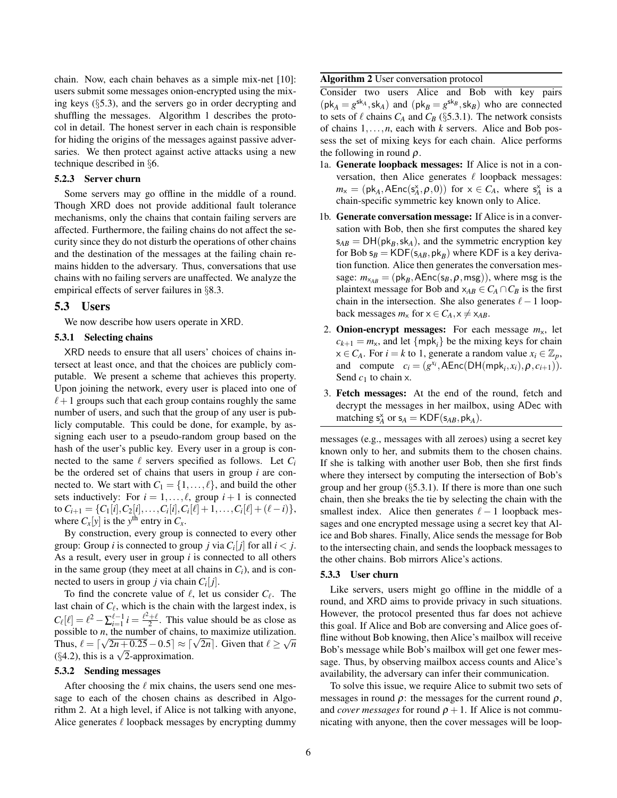chain. Now, each chain behaves as a simple mix-net [\[10\]](#page-12-1): users submit some messages onion-encrypted using the mixing keys (§[5.3\)](#page-5-0), and the servers go in order decrypting and shuffling the messages. Algorithm [1](#page-4-2) describes the protocol in detail. The honest server in each chain is responsible for hiding the origins of the messages against passive adversaries. We then protect against active attacks using a new technique described in §[6.](#page-6-0)

#### 5.2.3 Server churn

Some servers may go offline in the middle of a round. Though XRD does not provide additional fault tolerance mechanisms, only the chains that contain failing servers are affected. Furthermore, the failing chains do not affect the security since they do not disturb the operations of other chains and the destination of the messages at the failing chain remains hidden to the adversary. Thus, conversations that use chains with no failing servers are unaffected. We analyze the empirical effects of server failures in §[8.3.](#page-11-0)

### <span id="page-5-0"></span>5.3 Users

We now describe how users operate in XRD.

### <span id="page-5-2"></span>5.3.1 Selecting chains

XRD needs to ensure that all users' choices of chains intersect at least once, and that the choices are publicly computable. We present a scheme that achieves this property. Upon joining the network, every user is placed into one of  $\ell+1$  groups such that each group contains roughly the same number of users, and such that the group of any user is publicly computable. This could be done, for example, by assigning each user to a pseudo-random group based on the hash of the user's public key. Every user in a group is connected to the same  $\ell$  servers specified as follows. Let  $C_i$ be the ordered set of chains that users in group *i* are connected to. We start with  $C_1 = \{1, \ldots, \ell\}$ , and build the other sets inductively: For  $i = 1, \ldots, \ell$ , group  $i + 1$  is connected to  $C_{i+1} = \{C_1[i], C_2[i], \ldots, C_i[i], C_i[\ell] + 1, \ldots, C_i[\ell] + (\ell - i)\},$ where  $C_x[y]$  is the  $y^{\text{th}}$  entry in  $C_x$ .

By construction, every group is connected to every other group: Group *i* is connected to group *j* via  $C_i[j]$  for all  $i < j$ . As a result, every user in group *i* is connected to all others in the same group (they meet at all chains in  $C_i$ ), and is connected to users in group  $j$  via chain  $C_i[j]$ .

To find the concrete value of  $\ell$ , let us consider  $C_{\ell}$ . The last chain of  $C_{\ell}$ , which is the chain with the largest index, is  $C_{\ell}[\ell] = \ell^2 - \sum_{i=1}^{\ell-1} i = \frac{\ell^2 + \ell}{2}$ . This value should be as close as possible to *n*, the number of chains, to maximize utilization. possible to *n*, the number of chains, to maximize utilization.<br>Thus,  $\ell = \lceil \sqrt{2n+0.25} - 0.5 \rceil \approx \lceil \sqrt{2n} \rceil$ . Given that  $\ell \geq \sqrt{n}$ Thus,  $\ell = |\sqrt{2n+0.25}-0.5| \approx |\sqrt{24.2}$ , this is a  $\sqrt{2}$ -approximation.

### 5.3.2 Sending messages

After choosing the  $\ell$  mix chains, the users send one message to each of the chosen chains as described in Algorithm [2.](#page-5-1) At a high level, if Alice is not talking with anyone, Alice generates  $\ell$  loopback messages by encrypting dummy

#### <span id="page-5-1"></span>Algorithm 2 User conversation protocol

Consider two users Alice and Bob with key pairs  $(\mathsf{pk}_A = g^{\mathsf{sk}_A}, \mathsf{sk}_A)$  and  $(\mathsf{pk}_B = g^{\mathsf{sk}_B}, \mathsf{sk}_B)$  who are connected to sets of  $\ell$  chains  $C_A$  and  $C_B$  (§[5.3.1\)](#page-5-2). The network consists of chains 1,...,*n*, each with *k* servers. Alice and Bob possess the set of mixing keys for each chain. Alice performs the following in round  $\rho$ .

- 1a. Generate loopback messages: If Alice is not in a conversation, then Alice generates  $\ell$  loopback messages:  $m_x = (\mathsf{pk}_A, \mathsf{AEnc}(s_A^x, \rho, 0))$  for  $x \in C_A$ , where  $s_A^x$  is a chain-specific symmetric key known only to Alice.
- 1b. Generate conversation message: If Alice is in a conversation with Bob, then she first computes the shared key  $s_{AB} = DH(p k_B, s k_A)$ , and the symmetric encryption key for Bob  $s_B = KDF(s_{AB},pk_B)$  where KDF is a key derivation function. Alice then generates the conversation message:  $m_{x_{AB}} = (\mathsf{pk}_B, \mathsf{AEnc}(\mathsf{s}_B, \rho, \mathsf{msg}))$ , where msg is the plaintext message for Bob and  $x_{AB} \in C_A \cap C_B$  is the first chain in the intersection. She also generates  $\ell-1$  loopback messages  $m_x$  for  $x \in C_A$ ,  $x \neq x_{AB}$ .
- 2. **Onion-encrypt messages:** For each message  $m<sub>x</sub>$ , let  $c_{k+1} = m_{x}$ , and let {mpk<sub>*i*</sub>} be the mixing keys for chain  $x \in C_A$ . For *i* = *k* to 1, generate a random value  $x_i \in \mathbb{Z}_p$ , and compute  $c_i = (g^{x_i}, \text{AEnc}(\text{DH}(mpk_i, x_i), \rho, c_{i+1})).$ Send  $c_1$  to chain x.
- 3. Fetch messages: At the end of the round, fetch and decrypt the messages in her mailbox, using ADec with matching  $s_A^{\times}$  or  $s_A = KDF(s_{AB}, pk_A)$ .

messages (e.g., messages with all zeroes) using a secret key known only to her, and submits them to the chosen chains. If she is talking with another user Bob, then she first finds where they intersect by computing the intersection of Bob's group and her group (§[5.3.1\)](#page-5-2). If there is more than one such chain, then she breaks the tie by selecting the chain with the smallest index. Alice then generates  $\ell - 1$  loopback messages and one encrypted message using a secret key that Alice and Bob shares. Finally, Alice sends the message for Bob to the intersecting chain, and sends the loopback messages to the other chains. Bob mirrors Alice's actions.

#### <span id="page-5-3"></span>5.3.3 User churn

Like servers, users might go offline in the middle of a round, and XRD aims to provide privacy in such situations. However, the protocol presented thus far does not achieve this goal. If Alice and Bob are conversing and Alice goes offline without Bob knowing, then Alice's mailbox will receive Bob's message while Bob's mailbox will get one fewer message. Thus, by observing mailbox access counts and Alice's availability, the adversary can infer their communication.

To solve this issue, we require Alice to submit two sets of messages in round  $\rho$ : the messages for the current round  $\rho$ , and *cover messages* for round  $\rho + 1$ . If Alice is not communicating with anyone, then the cover messages will be loop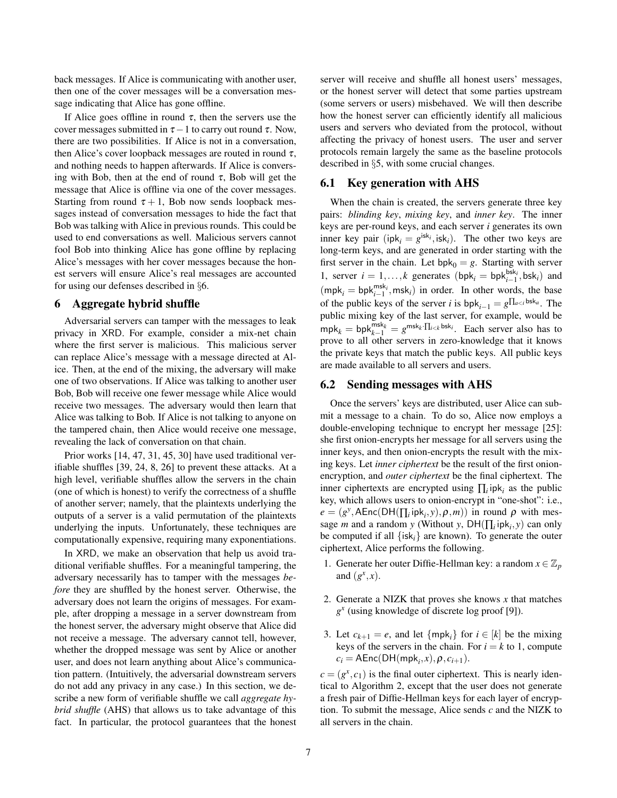back messages. If Alice is communicating with another user, then one of the cover messages will be a conversation message indicating that Alice has gone offline.

If Alice goes offline in round  $\tau$ , then the servers use the cover messages submitted in  $\tau - 1$  to carry out round  $\tau$ . Now, there are two possibilities. If Alice is not in a conversation, then Alice's cover loopback messages are routed in round  $\tau$ , and nothing needs to happen afterwards. If Alice is conversing with Bob, then at the end of round  $\tau$ , Bob will get the message that Alice is offline via one of the cover messages. Starting from round  $\tau + 1$ , Bob now sends loopback messages instead of conversation messages to hide the fact that Bob was talking with Alice in previous rounds. This could be used to end conversations as well. Malicious servers cannot fool Bob into thinking Alice has gone offline by replacing Alice's messages with her cover messages because the honest servers will ensure Alice's real messages are accounted for using our defenses described in §[6.](#page-6-0)

## <span id="page-6-0"></span>6 Aggregate hybrid shuffle

Adversarial servers can tamper with the messages to leak privacy in XRD. For example, consider a mix-net chain where the first server is malicious. This malicious server can replace Alice's message with a message directed at Alice. Then, at the end of the mixing, the adversary will make one of two observations. If Alice was talking to another user Bob, Bob will receive one fewer message while Alice would receive two messages. The adversary would then learn that Alice was talking to Bob. If Alice is not talking to anyone on the tampered chain, then Alice would receive one message, revealing the lack of conversation on that chain.

Prior works [\[14,](#page-12-3) [47,](#page-14-0) [31,](#page-13-1) [45,](#page-13-3) [30\]](#page-13-6) have used traditional verifiable shuffles [\[39,](#page-13-20) [24,](#page-13-21) [8,](#page-12-17) [26\]](#page-13-22) to prevent these attacks. At a high level, verifiable shuffles allow the servers in the chain (one of which is honest) to verify the correctness of a shuffle of another server; namely, that the plaintexts underlying the outputs of a server is a valid permutation of the plaintexts underlying the inputs. Unfortunately, these techniques are computationally expensive, requiring many exponentiations.

In XRD, we make an observation that help us avoid traditional verifiable shuffles. For a meaningful tampering, the adversary necessarily has to tamper with the messages *before* they are shuffled by the honest server. Otherwise, the adversary does not learn the origins of messages. For example, after dropping a message in a server downstream from the honest server, the adversary might observe that Alice did not receive a message. The adversary cannot tell, however, whether the dropped message was sent by Alice or another user, and does not learn anything about Alice's communication pattern. (Intuitively, the adversarial downstream servers do not add any privacy in any case.) In this section, we describe a new form of verifiable shuffle we call *aggregate hybrid shuffle* (AHS) that allows us to take advantage of this fact. In particular, the protocol guarantees that the honest server will receive and shuffle all honest users' messages, or the honest server will detect that some parties upstream (some servers or users) misbehaved. We will then describe how the honest server can efficiently identify all malicious users and servers who deviated from the protocol, without affecting the privacy of honest users. The user and server protocols remain largely the same as the baseline protocols described in §[5,](#page-4-0) with some crucial changes.

# <span id="page-6-3"></span>6.1 Key generation with AHS

When the chain is created, the servers generate three key pairs: *blinding key*, *mixing key*, and *inner key*. The inner keys are per-round keys, and each server *i* generates its own inner key pair (ip $k_i = g^{isk_i}$ , isk<sub>*i*</sub>). The other two keys are long-term keys, and are generated in order starting with the first server in the chain. Let  $bpk_0 = g$ . Starting with server 1, server  $i = 1, ..., k$  generates  $(bpk_i = bpk_{i-1}^{bsk_i}, bsk_i)$  and  $(mpk<sub>i</sub> = bpk<sub>i-1</sub><sup>msk<sub>i</sub></sup>,msk<sub>i</sub>)$  in order. In other words, the base of the public keys of the server *i* is  $bpk_{i-1} = g\prod_{a \leq i} bsk_a$ . The public mixing key of the last server, for example, would be  $mpk_k = bpk_{k-1}^{msk_k} = g^{msk_k} \cdot \prod_{i < k} b s k_i$ . Each server also has to prove to all other servers in zero-knowledge that it knows the private keys that match the public keys. All public keys are made available to all servers and users.

#### <span id="page-6-2"></span>6.2 Sending messages with AHS

Once the servers' keys are distributed, user Alice can submit a message to a chain. To do so, Alice now employs a double-enveloping technique to encrypt her message [\[25\]](#page-13-23): she first onion-encrypts her message for all servers using the inner keys, and then onion-encrypts the result with the mixing keys. Let *inner ciphertext* be the result of the first onionencryption, and *outer ciphertext* be the final ciphertext. The inner ciphertexts are encrypted using  $\prod_i$  ipk<sub>i</sub> as the public key, which allows users to onion-encrypt in "one-shot": i.e.,  $e = (g^y, AEnc(DH(\prod_i ipk_i, y), \rho, m))$  in round  $\rho$  with message *m* and a random *y* (Without *y*, DH( $\prod_i$ ip $k_i$ , *y*) can only be computed if all  $\{isk_i\}$  are known). To generate the outer ciphertext, Alice performs the following.

- 1. Generate her outer Diffie-Hellman key: a random  $x \in \mathbb{Z}_p$ and  $(g^x, x)$ .
- <span id="page-6-1"></span>2. Generate a NIZK that proves she knows *x* that matches *g x* (using knowledge of discrete log proof [\[9\]](#page-12-18)).
- 3. Let  $c_{k+1} = e$ , and let  $\{ \text{mpk}_i \}$  for  $i \in [k]$  be the mixing keys of the servers in the chain. For  $i = k$  to 1, compute  $c_i = \mathsf{AEnc}(\mathsf{DH}(\mathsf{mpk}_i, x), \rho, c_{i+1}).$

 $c = (g^x, c_1)$  is the final outer ciphertext. This is nearly identical to Algorithm [2,](#page-5-1) except that the user does not generate a fresh pair of Diffie-Hellman keys for each layer of encryption. To submit the message, Alice sends *c* and the NIZK to all servers in the chain.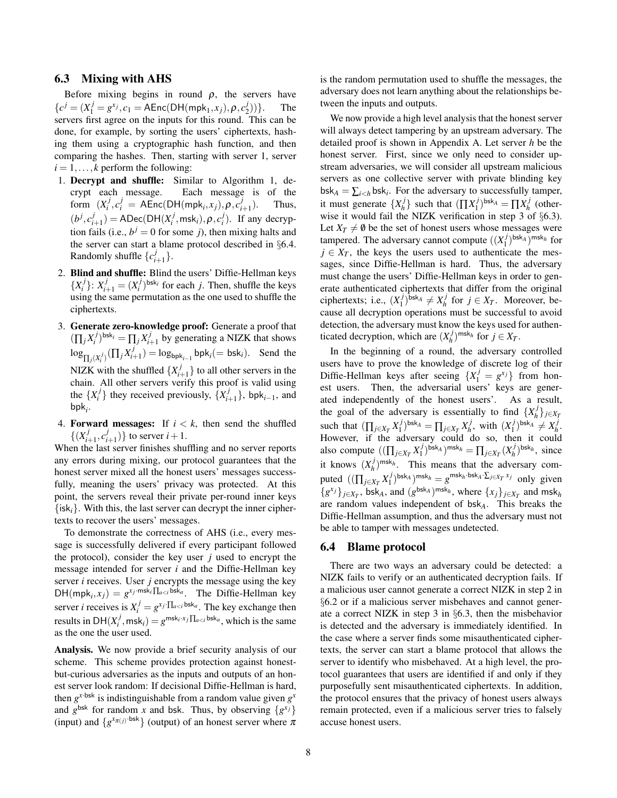### <span id="page-7-2"></span>6.3 Mixing with AHS

Before mixing begins in round  $\rho$ , the servers have  ${c}^{j} = (X_1^j = g^{x_j}, c_1 = \text{AEnc}(\text{DH}(\text{mpk}_1, x_j), \rho, c_2^j)$  $\begin{pmatrix} 1 \\ 2 \end{pmatrix}$ ) }. The servers first agree on the inputs for this round. This can be done, for example, by sorting the users' ciphertexts, hashing them using a cryptographic hash function, and then comparing the hashes. Then, starting with server 1, server  $i = 1, \ldots, k$  perform the following:

- 1. Decrypt and shuffle: Similar to Algorithm [1,](#page-4-2) decrypt each message. Each message is of the form  $(X_i^j, c_i^j) = \text{AEnc}(\text{DH}(\text{mpk}_i, x_j), \rho, c_i^j)$ *i*+1 ). Thus,  $(b^j, c^j_i)$  $j_{i+1}$ ) = ADec(DH( $X_i^j$ , msk<sub>*i*</sub>),  $\rho$ ,  $c_i^j$ ). If any decryption fails (i.e.,  $b^j = 0$  for some *j*), then mixing halts and the server can start a blame protocol described in §[6.4.](#page-7-0) Randomly shuffle  ${c_i^j}$  $_{i+1}^{J}\}.$
- 2. Blind and shuffle: Blind the users' Diffie-Hellman keys  $\{X_i^j\}$ :  $X_{i+1}^j = (X_i^j)^{bsk_i}$  for each *j*. Then, shuffle the keys using the same permutation as the one used to shuffle the ciphertexts.
- <span id="page-7-1"></span>3. Generate zero-knowledge proof: Generate a proof that  $(\prod_j X_i^j)^{\text{bsk}_i} = \prod_j X_i^j$  $i_{i+1}$  by generating a NIZK that shows  $\log_{\prod_j (X_i^j)} (\prod_j X_i^j)$  $\sum_{i=1}^{J}$  = log<sub>bpk<sub>i-1</sub></sub> bpk<sub>i</sub>(= bsk<sub>i</sub>). Send the NIZK with the shuffled  $\{X_i^j\}$  $\{t'_{i+1}\}$  to all other servers in the chain. All other servers verify this proof is valid using the  $\{X_i^j\}$  they received previously,  $\{X_i^j\}$  $\{i+1}^j$ , bpk<sub>*i*−1</sub>, and bpk*<sup>i</sup>* .
- 4. Forward messages: If  $i < k$ , then send the shuffled  $\{(X_i^j)$  $\frac{j}{i+1}$ ,  $c_i^j$  $\binom{j}{i+1}$  to server  $i+1$ .

When the last server finishes shuffling and no server reports any errors during mixing, our protocol guarantees that the honest server mixed all the honest users' messages successfully, meaning the users' privacy was protected. At this point, the servers reveal their private per-round inner keys  $\{isk_i\}$ . With this, the last server can decrypt the inner ciphertexts to recover the users' messages.

To demonstrate the correctness of AHS (i.e., every message is successfully delivered if every participant followed the protocol), consider the key user  $j$  used to encrypt the message intended for server *i* and the Diffie-Hellman key server *i* receives. User *j* encrypts the message using the key  $DH(mpk_i, x_j) = g^{x_j \cdot msk_i \prod_{a \leq i} bsk_a}$ . The Diffie-Hellman key server *i* receives is  $X_i^j = g^{x_j} \prod_{a < i} b^{s_k} a$ . The key exchange then results in  $DH(X_i^j, \text{msk}_i) = g^{\text{msk}_i \cdot x_j} \prod_{a \le i} \text{bsk}_a$ , which is the same as the one the user used.

Analysis. We now provide a brief security analysis of our scheme. This scheme provides protection against honestbut-curious adversaries as the inputs and outputs of an honest server look random: If decisional Diffie-Hellman is hard, then  $g^{x \cdot bsk}$  is indistinguishable from a random value given  $g^x$ and  $g^{\text{bsk}}$  for random *x* and bsk. Thus, by observing  $\{g^{x_j}\}\$ (input) and  $\{g^{x_{\pi(j)}}\text{-}bsk}\}\$  (output) of an honest server where  $\pi$ 

is the random permutation used to shuffle the messages, the adversary does not learn anything about the relationships between the inputs and outputs.

We now provide a high level analysis that the honest server will always detect tampering by an upstream adversary. The detailed proof is shown in Appendix [A.](#page-14-2) Let server *h* be the honest server. First, since we only need to consider upstream adversaries, we will consider all upstream malicious servers as one collective server with private blinding key  $bsk_A = \sum_{i \leq h} bsk_i$ . For the adversary to successfully tamper, it must generate  $\{X_h^j\}$  $\{h^{j}\}\$  such that  $(\prod X_1^j)$  $(\frac{j}{1})^{\text{bsk}_A} = \prod X_h^j$  $h \text{'}$  (otherwise it would fail the NIZK verification in step [3](#page-7-1) of §[6.3\)](#page-7-2). Let  $X_T \neq \emptyset$  be the set of honest users whose messages were tampered. The adversary cannot compute  $((X_1^j)$  $\binom{j}{1}$ bsk<sub>A</sub> )<sup>msk<sub>h</sub></sup> for  $j \in X_T$ , the keys the users used to authenticate the messages, since Diffie-Hellman is hard. Thus, the adversary must change the users' Diffie-Hellman keys in order to generate authenticated ciphertexts that differ from the original ciphertexts; i.e.,  $(X_1^j)$  $\binom{j}{1}$ bsk $A \neq X_h^j$ *h* for  $j \in X_T$ . Moreover, because all decryption operations must be successful to avoid detection, the adversary must know the keys used for authenticated decryption, which are  $(X_h^j)$  $\binom{j}{h}$ <sup>msk<sub>h</sub></sup> for  $j \in X_T$ .

In the beginning of a round, the adversary controlled users have to prove the knowledge of discrete log of their Diffie-Hellman keys after seeing  $\{X_1^j = g^{x_j}\}\$  from honest users. Then, the adversarial users' keys are generated independently of the honest users'. As a result, the goal of the adversary is essentially to find  $\{X_h^j\}$ *h* }*j*∈*X<sup>T</sup>* such that  $(\prod_{j \in X_T} X_1^j)$  $(\frac{j}{1})^{\text{bsk}_A} = \prod_{j \in X_T} X_h^j$  $\chi_h^j$ , with  $(X_1^j)$  $\binom{j}{1}$ bsk $A \neq X_h^j$ *h* . However, if the adversary could do so, then it could also compute  $((\prod_{j\in X_T} X_1^j)$  $\sum_{1}^{j}$ ) $^{bsk}$ A) $^{msk}$  $h = \prod_{j \in X_T} (X_h^j)$  $\binom{J}{h}$ <sup>bsk<sub>h</sub></sup>, since it knows  $(X_h^j)^{\text{msk}_h}$ . This means that the adversary com*h* puted  $((\prod_{j\in X_T} X_1^j)$  $\int_{1}^{j}$  bsk<sub>*A*</sub>  $\int$  msk<sub>*h*</sub> = *g*<sup>msk<sub>*h*</sub></sub>·bsk<sub>*A*</sub>· $\sum_{j \in X_T} x_j$  only given</sup>  ${g^{x_j}}_{j \in X_T}$ , bsk<sub>*A*</sub>, and  $(g^{bsk_A})^{msk_h}$ , where  ${x_j}_{j \in X_T}$  and msk<sub>*h*</sub> are random values independent of bsk*A*. This breaks the Diffie-Hellman assumption, and thus the adversary must not be able to tamper with messages undetected.

### <span id="page-7-0"></span>6.4 Blame protocol

There are two ways an adversary could be detected: a NIZK fails to verify or an authenticated decryption fails. If a malicious user cannot generate a correct NIZK in step [2](#page-6-1) in §[6.2](#page-6-2) or if a malicious server misbehaves and cannot generate a correct NIZK in step [3](#page-7-1) in §[6.3,](#page-7-2) then the misbehavior is detected and the adversary is immediately identified. In the case where a server finds some misauthenticated ciphertexts, the server can start a blame protocol that allows the server to identify who misbehaved. At a high level, the protocol guarantees that users are identified if and only if they purposefully sent misauthenticated ciphertexts. In addition, the protocol ensures that the privacy of honest users always remain protected, even if a malicious server tries to falsely accuse honest users.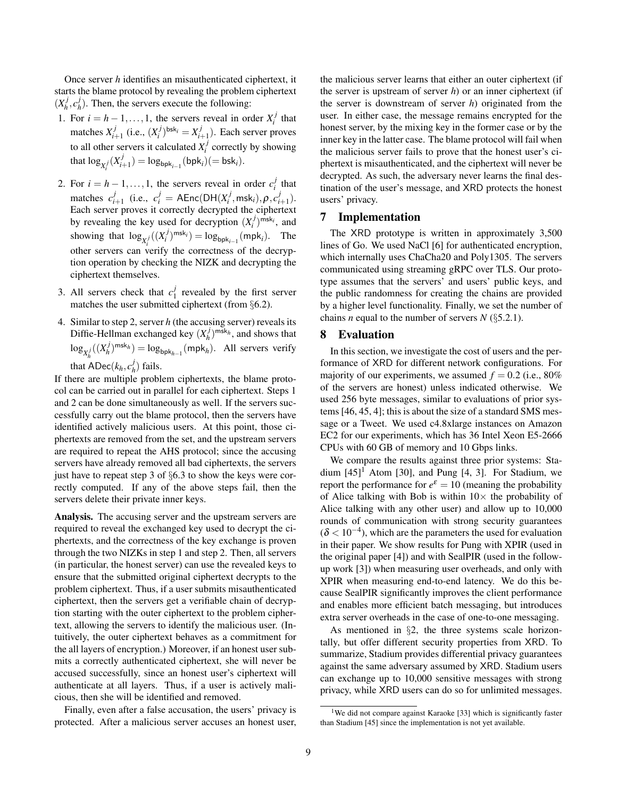Once server *h* identifies an misauthenticated ciphertext, it starts the blame protocol by revealing the problem ciphertext  $(X_h^j)$  $\frac{j}{h}$ ,  $c_h^j$  $h_h$ ). Then, the servers execute the following:

- <span id="page-8-2"></span>1. For  $i = h - 1, \ldots, 1$ , the servers reveal in order  $X_i^j$  that matches  $X_i^j$  $i_{i+1}$  (i.e.,  $(X_i^j)^{\text{bsk}_i} = X_{i-1}^j$  $\binom{J}{i+1}$ . Each server proves to all other servers it calculated  $X_i^j$  correctly by showing that  $\log_{X_i^j}(X_i^j)$  $\sum_{i+1}^{J}$ ) = log<sub>bpk<sub>i−1</sub>(bpk<sub>i</sub>)(= bsk<sub>i</sub>).</sub>
- <span id="page-8-1"></span>2. For  $i = h - 1, ..., 1$ , the servers reveal in order  $c_i^j$  that matches  $c_i^j$  $i_{i+1}$  (i.e.,  $c_i^j = \text{AEnc}(\text{DH}(X_i^j, \text{msk}_i), \rho, c_i^j)$  $_{i+1}^{j}).$ Each server proves it correctly decrypted the ciphertext by revealing the key used for decryption  $(X_i^j)^{\text{msk}_i}$ , and showing that  $log_{X_i^j}((X_i^j)^{\text{msk}_i}) = log_{bpk_{i-1}}(\text{mpk}_i)$ . The other servers can verify the correctness of the decryption operation by checking the NIZK and decrypting the ciphertext themselves.
- 3. All servers check that  $c_1^j$  $\frac{J}{1}$  revealed by the first server matches the user submitted ciphertext (from §[6.2\)](#page-6-2).
- 4. Similar to step [2,](#page-8-1) server *h* (the accusing server) reveals its Diffie-Hellman exchanged key  $(X_h^j)$  $(n_h^j)$ <sup>msk<sub>h</sub></sub>, and shows that</sup>  $\log_{X_h^j}((X_h^j$  $\binom{m}{h}^{m \le k_h} = \log_{\text{bpk}_{h-1}} (\text{mpk}_h)$ . All servers verify that  $\overline{ADC}(k_h, c_h^j)$  $\binom{J}{h}$  fails.

If there are multiple problem ciphertexts, the blame protocol can be carried out in parallel for each ciphertext. Steps [1](#page-8-2) and [2](#page-8-1) can be done simultaneously as well. If the servers successfully carry out the blame protocol, then the servers have identified actively malicious users. At this point, those ciphertexts are removed from the set, and the upstream servers are required to repeat the AHS protocol; since the accusing servers have already removed all bad ciphertexts, the servers just have to repeat step [3](#page-7-1) of §[6.3](#page-7-2) to show the keys were correctly computed. If any of the above steps fail, then the servers delete their private inner keys.

Analysis. The accusing server and the upstream servers are required to reveal the exchanged key used to decrypt the ciphertexts, and the correctness of the key exchange is proven through the two NIZKs in step [1](#page-8-2) and step [2.](#page-8-1) Then, all servers (in particular, the honest server) can use the revealed keys to ensure that the submitted original ciphertext decrypts to the problem ciphertext. Thus, if a user submits misauthenticated ciphertext, then the servers get a verifiable chain of decryption starting with the outer ciphertext to the problem ciphertext, allowing the servers to identify the malicious user. (Intuitively, the outer ciphertext behaves as a commitment for the all layers of encryption.) Moreover, if an honest user submits a correctly authenticated ciphertext, she will never be accused successfully, since an honest user's ciphertext will authenticate at all layers. Thus, if a user is actively malicious, then she will be identified and removed.

Finally, even after a false accusation, the users' privacy is protected. After a malicious server accuses an honest user, the malicious server learns that either an outer ciphertext (if the server is upstream of server *h*) or an inner ciphertext (if the server is downstream of server *h*) originated from the user. In either case, the message remains encrypted for the honest server, by the mixing key in the former case or by the inner key in the latter case. The blame protocol will fail when the malicious server fails to prove that the honest user's ciphertext is misauthenticated, and the ciphertext will never be decrypted. As such, the adversary never learns the final destination of the user's message, and XRD protects the honest users' privacy.

# 7 Implementation

The XRD prototype is written in approximately 3,500 lines of Go. We used NaCl [\[6\]](#page-12-19) for authenticated encryption, which internally uses ChaCha20 and Poly1305. The servers communicated using streaming gRPC over TLS. Our prototype assumes that the servers' and users' public keys, and the public randomness for creating the chains are provided by a higher level functionality. Finally, we set the number of chains *n* equal to the number of servers  $N$  (§[5.2.1\)](#page-4-1).

# <span id="page-8-0"></span>8 Evaluation

In this section, we investigate the cost of users and the performance of XRD for different network configurations. For majority of our experiments, we assumed  $f = 0.2$  (i.e., 80%) of the servers are honest) unless indicated otherwise. We used 256 byte messages, similar to evaluations of prior systems [\[46,](#page-14-1) [45,](#page-13-3) [4\]](#page-12-5); this is about the size of a standard SMS message or a Tweet. We used c4.8xlarge instances on Amazon EC2 for our experiments, which has 36 Intel Xeon E5-2666 CPUs with 60 GB of memory and 10 Gbps links.

We compare the results against three prior systems: Stadium  $[45]$ <sup>[1](#page-8-3)</sup> Atom  $[30]$ , and Pung  $[4, 3]$  $[4, 3]$ . For Stadium, we report the performance for  $e^{\varepsilon} = 10$  (meaning the probability of Alice talking with Bob is within  $10\times$  the probability of Alice talking with any other user) and allow up to 10,000 rounds of communication with strong security guarantees  $(\delta < 10^{-4})$ , which are the parameters the used for evaluation in their paper. We show results for Pung with XPIR (used in the original paper [\[4\]](#page-12-5)) and with SealPIR (used in the followup work [\[3\]](#page-12-8)) when measuring user overheads, and only with XPIR when measuring end-to-end latency. We do this because SealPIR significantly improves the client performance and enables more efficient batch messaging, but introduces extra server overheads in the case of one-to-one messaging.

As mentioned in §[2,](#page-1-0) the three systems scale horizontally, but offer different security properties from XRD. To summarize, Stadium provides differential privacy guarantees against the same adversary assumed by XRD. Stadium users can exchange up to 10,000 sensitive messages with strong privacy, while XRD users can do so for unlimited messages.

<span id="page-8-3"></span><sup>&</sup>lt;sup>1</sup>We did not compare against Karaoke [\[33\]](#page-13-4) which is significantly faster than Stadium [\[45\]](#page-13-3) since the implementation is not yet available.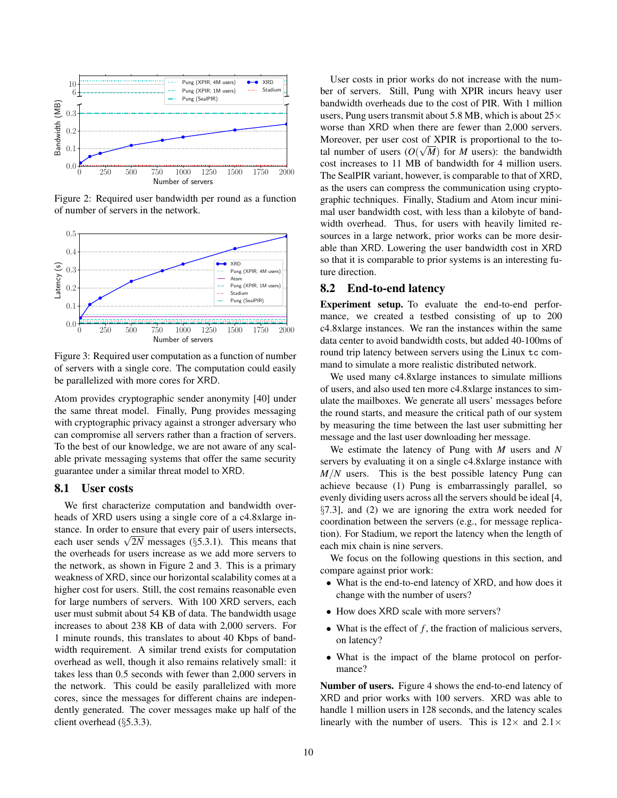

<span id="page-9-0"></span>Figure 2: Required user bandwidth per round as a function of number of servers in the network.



<span id="page-9-1"></span>Figure 3: Required user computation as a function of number of servers with a single core. The computation could easily be parallelized with more cores for XRD.

Atom provides cryptographic sender anonymity [\[40\]](#page-13-7) under the same threat model. Finally, Pung provides messaging with cryptographic privacy against a stronger adversary who can compromise all servers rather than a fraction of servers. To the best of our knowledge, we are not aware of any scalable private messaging systems that offer the same security guarantee under a similar threat model to XRD.

# 8.1 User costs

We first characterize computation and bandwidth overheads of XRD users using a single core of a c4.8xlarge instance. In order to ensure that every pair of users intersects, stance. In order to ensure that every pair or users intersects,<br>each user sends  $\sqrt{2N}$  messages ( $\S5.3.1$ ). This means that the overheads for users increase as we add more servers to the network, as shown in Figure [2](#page-9-0) and [3.](#page-9-1) This is a primary weakness of XRD, since our horizontal scalability comes at a higher cost for users. Still, the cost remains reasonable even for large numbers of servers. With 100 XRD servers, each user must submit about 54 KB of data. The bandwidth usage increases to about 238 KB of data with 2,000 servers. For 1 minute rounds, this translates to about 40 Kbps of bandwidth requirement. A similar trend exists for computation overhead as well, though it also remains relatively small: it takes less than 0.5 seconds with fewer than 2,000 servers in the network. This could be easily parallelized with more cores, since the messages for different chains are independently generated. The cover messages make up half of the client overhead (§[5.3.3\)](#page-5-3).

User costs in prior works do not increase with the number of servers. Still, Pung with XPIR incurs heavy user bandwidth overheads due to the cost of PIR. With 1 million users, Pung users transmit about 5.8 MB, which is about  $25\times$ worse than XRD when there are fewer than 2,000 servers. Moreover, per user cost of XPIR is proportional to the total number of users  $(O(\sqrt{M}))$  for *M* users): the bandwidth cost increases to 11 MB of bandwidth for 4 million users. The SealPIR variant, however, is comparable to that of XRD, as the users can compress the communication using cryptographic techniques. Finally, Stadium and Atom incur minimal user bandwidth cost, with less than a kilobyte of bandwidth overhead. Thus, for users with heavily limited resources in a large network, prior works can be more desirable than XRD. Lowering the user bandwidth cost in XRD so that it is comparable to prior systems is an interesting future direction.

# 8.2 End-to-end latency

Experiment setup. To evaluate the end-to-end performance, we created a testbed consisting of up to 200 c4.8xlarge instances. We ran the instances within the same data center to avoid bandwidth costs, but added 40-100ms of round trip latency between servers using the Linux tc command to simulate a more realistic distributed network.

We used many c4.8xlarge instances to simulate millions of users, and also used ten more c4.8xlarge instances to simulate the mailboxes. We generate all users' messages before the round starts, and measure the critical path of our system by measuring the time between the last user submitting her message and the last user downloading her message.

We estimate the latency of Pung with *M* users and *N* servers by evaluating it on a single c4.8xlarge instance with *M*/*N* users. This is the best possible latency Pung can achieve because (1) Pung is embarrassingly parallel, so evenly dividing users across all the servers should be ideal [\[4,](#page-12-5) §7.3], and (2) we are ignoring the extra work needed for coordination between the servers (e.g., for message replication). For Stadium, we report the latency when the length of each mix chain is nine servers.

We focus on the following questions in this section, and compare against prior work:

- What is the end-to-end latency of XRD, and how does it change with the number of users?
- How does XRD scale with more servers?
- What is the effect of *f*, the fraction of malicious servers, on latency?
- What is the impact of the blame protocol on performance?

Number of users. Figure [4](#page-10-0) shows the end-to-end latency of XRD and prior works with 100 servers. XRD was able to handle 1 million users in 128 seconds, and the latency scales linearly with the number of users. This is  $12\times$  and  $2.1\times$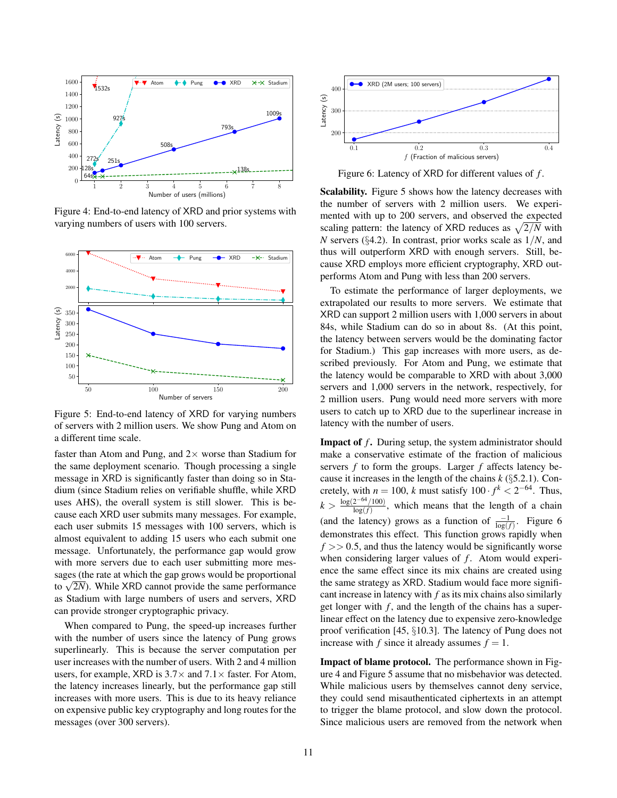

<span id="page-10-0"></span>Figure 4: End-to-end latency of XRD and prior systems with varying numbers of users with 100 servers.



<span id="page-10-1"></span>Figure 5: End-to-end latency of XRD for varying numbers of servers with 2 million users. We show Pung and Atom on a different time scale.

faster than Atom and Pung, and  $2 \times$  worse than Stadium for the same deployment scenario. Though processing a single message in XRD is significantly faster than doing so in Stadium (since Stadium relies on verifiable shuffle, while XRD uses AHS), the overall system is still slower. This is because each XRD user submits many messages. For example, each user submits 15 messages with 100 servers, which is almost equivalent to adding 15 users who each submit one message. Unfortunately, the performance gap would grow with more servers due to each user submitting more messages (the rate at which the gap grows would be proportional sages (the rate at which the gap grows would be proportional<br>to  $\sqrt{2N}$ ). While XRD cannot provide the same performance as Stadium with large numbers of users and servers, XRD can provide stronger cryptographic privacy.

When compared to Pung, the speed-up increases further with the number of users since the latency of Pung grows superlinearly. This is because the server computation per user increases with the number of users. With 2 and 4 million users, for example, XRD is  $3.7\times$  and  $7.1\times$  faster. For Atom, the latency increases linearly, but the performance gap still increases with more users. This is due to its heavy reliance on expensive public key cryptography and long routes for the messages (over 300 servers).



<span id="page-10-2"></span>Figure 6: Latency of XRD for different values of *f* .

Scalability. Figure [5](#page-10-1) shows how the latency decreases with the number of servers with 2 million users. We experimented with up to 200 servers, and observed the expected scaling pattern: the latency of XRD reduces as  $\sqrt{2/N}$  with *N* servers (§[4.2\)](#page-4-3). In contrast, prior works scale as 1/*N*, and thus will outperform XRD with enough servers. Still, because XRD employs more efficient cryptography, XRD outperforms Atom and Pung with less than 200 servers.

To estimate the performance of larger deployments, we extrapolated our results to more servers. We estimate that XRD can support 2 million users with 1,000 servers in about 84s, while Stadium can do so in about 8s. (At this point, the latency between servers would be the dominating factor for Stadium.) This gap increases with more users, as described previously. For Atom and Pung, we estimate that the latency would be comparable to XRD with about 3,000 servers and 1,000 servers in the network, respectively, for 2 million users. Pung would need more servers with more users to catch up to XRD due to the superlinear increase in latency with the number of users.

**Impact of f.** During setup, the system administrator should make a conservative estimate of the fraction of malicious servers *f* to form the groups. Larger *f* affects latency because it increases in the length of the chains *k* (§[5.2.1\)](#page-4-1). Concretely, with  $n = 100$ , *k* must satisfy  $100 \cdot f^k < 2^{-64}$ . Thus,  $k >$  $log(2^{-64}/100)$  $\frac{2}{\log(f)}$ , which means that the length of a chain (and the latency) grows as a function of  $\frac{-1}{\log(f)}$ . Figure [6](#page-10-2) demonstrates this effect. This function grows rapidly when  $f \gg 0.5$ , and thus the latency would be significantly worse when considering larger values of *f*. Atom would experience the same effect since its mix chains are created using the same strategy as XRD. Stadium would face more significant increase in latency with *f* as its mix chains also similarly get longer with *f*, and the length of the chains has a superlinear effect on the latency due to expensive zero-knowledge proof verification [\[45,](#page-13-3) §10.3]. The latency of Pung does not increase with *f* since it already assumes  $f = 1$ .

Impact of blame protocol. The performance shown in Figure [4](#page-10-0) and Figure [5](#page-10-1) assume that no misbehavior was detected. While malicious users by themselves cannot deny service, they could send misauthenticated ciphertexts in an attempt to trigger the blame protocol, and slow down the protocol. Since malicious users are removed from the network when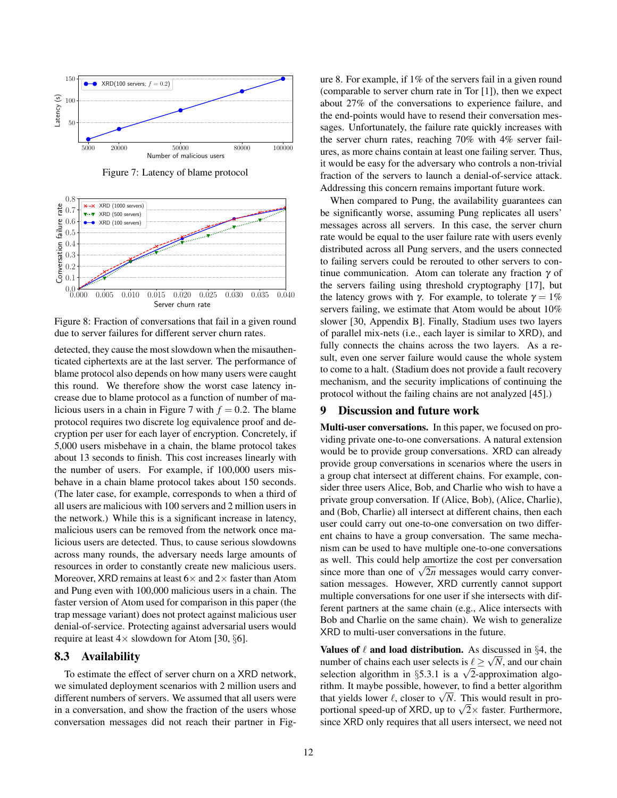

<span id="page-11-1"></span>Figure 7: Latency of blame protocol



<span id="page-11-2"></span>Figure 8: Fraction of conversations that fail in a given round due to server failures for different server churn rates.

detected, they cause the most slowdown when the misauthenticated ciphertexts are at the last server. The performance of blame protocol also depends on how many users were caught this round. We therefore show the worst case latency increase due to blame protocol as a function of number of ma-licious users in a chain in Figure [7](#page-11-1) with  $f = 0.2$ . The blame protocol requires two discrete log equivalence proof and decryption per user for each layer of encryption. Concretely, if 5,000 users misbehave in a chain, the blame protocol takes about 13 seconds to finish. This cost increases linearly with the number of users. For example, if 100,000 users misbehave in a chain blame protocol takes about 150 seconds. (The later case, for example, corresponds to when a third of all users are malicious with 100 servers and 2 million users in the network.) While this is a significant increase in latency, malicious users can be removed from the network once malicious users are detected. Thus, to cause serious slowdowns across many rounds, the adversary needs large amounts of resources in order to constantly create new malicious users. Moreover, XRD remains at least  $6\times$  and  $2\times$  faster than Atom and Pung even with 100,000 malicious users in a chain. The faster version of Atom used for comparison in this paper (the trap message variant) does not protect against malicious user denial-of-service. Protecting against adversarial users would require at least  $4\times$  slowdown for Atom [\[30,](#page-13-6) §6].

### <span id="page-11-0"></span>8.3 Availability

To estimate the effect of server churn on a XRD network, we simulated deployment scenarios with 2 million users and different numbers of servers. We assumed that all users were in a conversation, and show the fraction of the users whose conversation messages did not reach their partner in Figure [8.](#page-11-2) For example, if 1% of the servers fail in a given round (comparable to server churn rate in Tor [\[1\]](#page-12-7)), then we expect about 27% of the conversations to experience failure, and the end-points would have to resend their conversation messages. Unfortunately, the failure rate quickly increases with the server churn rates, reaching 70% with 4% server failures, as more chains contain at least one failing server. Thus, it would be easy for the adversary who controls a non-trivial fraction of the servers to launch a denial-of-service attack. Addressing this concern remains important future work.

When compared to Pung, the availability guarantees can be significantly worse, assuming Pung replicates all users' messages across all servers. In this case, the server churn rate would be equal to the user failure rate with users evenly distributed across all Pung servers, and the users connected to failing servers could be rerouted to other servers to continue communication. Atom can tolerate any fraction  $\gamma$  of the servers failing using threshold cryptography [\[17\]](#page-12-20), but the latency grows with γ. For example, to tolerate  $γ = 1%$ servers failing, we estimate that Atom would be about 10% slower [\[30,](#page-13-6) Appendix B]. Finally, Stadium uses two layers of parallel mix-nets (i.e., each layer is similar to XRD), and fully connects the chains across the two layers. As a result, even one server failure would cause the whole system to come to a halt. (Stadium does not provide a fault recovery mechanism, and the security implications of continuing the protocol without the failing chains are not analyzed [\[45\]](#page-13-3).)

# <span id="page-11-3"></span>9 Discussion and future work

Multi-user conversations. In this paper, we focused on providing private one-to-one conversations. A natural extension would be to provide group conversations. XRD can already provide group conversations in scenarios where the users in a group chat intersect at different chains. For example, consider three users Alice, Bob, and Charlie who wish to have a private group conversation. If (Alice, Bob), (Alice, Charlie), and (Bob, Charlie) all intersect at different chains, then each user could carry out one-to-one conversation on two different chains to have a group conversation. The same mechanism can be used to have multiple one-to-one conversations as well. This could help amortize the cost per conversation as well. This could help amortize the cost per conversation since more than one of  $\sqrt{2n}$  messages would carry conversation messages. However, XRD currently cannot support multiple conversations for one user if she intersects with different partners at the same chain (e.g., Alice intersects with Bob and Charlie on the same chain). We wish to generalize XRD to multi-user conversations in the future.

Values of  $\ell$  and load distribution. As discussed in §[4,](#page-3-2) the number of chains each user selects is  $\ell \geq \sqrt{N}$ , and our chain number of chains each user selects is  $\ell \ge \sqrt{N}$ , and our chain selection algorithm in §[5.3.1](#page-5-2) is a  $\sqrt{2}$ -approximation algorithm. It maybe possible, however, to find a better algorithm rium. It maybe possible, nowever, to find a better algorithm<br>that yields lower  $\ell$ , closer to  $\sqrt{N}$ . This would result in prothat yields lower  $\ell$ , closer to  $\sqrt{N}$ . This would result in pro-<br>portional speed-up of XRD, up to  $\sqrt{2} \times$  faster. Furthermore, since XRD only requires that all users intersect, we need not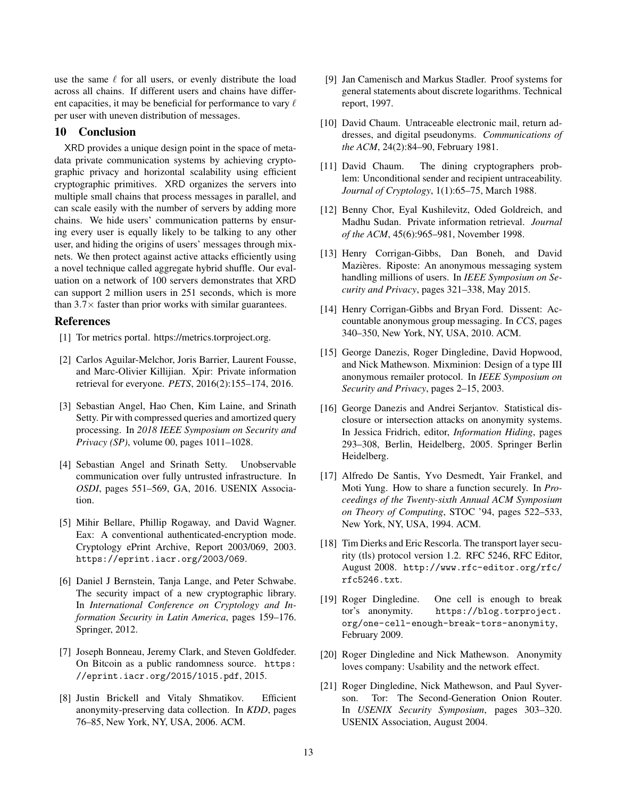use the same  $\ell$  for all users, or evenly distribute the load across all chains. If different users and chains have different capacities, it may be beneficial for performance to vary  $\ell$ per user with uneven distribution of messages.

# 10 Conclusion

XRD provides a unique design point in the space of metadata private communication systems by achieving cryptographic privacy and horizontal scalability using efficient cryptographic primitives. XRD organizes the servers into multiple small chains that process messages in parallel, and can scale easily with the number of servers by adding more chains. We hide users' communication patterns by ensuring every user is equally likely to be talking to any other user, and hiding the origins of users' messages through mixnets. We then protect against active attacks efficiently using a novel technique called aggregate hybrid shuffle. Our evaluation on a network of 100 servers demonstrates that XRD can support 2 million users in 251 seconds, which is more than  $3.7\times$  faster than prior works with similar guarantees.

## <span id="page-12-7"></span>References

- [1] Tor metrics portal. https://metrics.torproject.org.
- <span id="page-12-6"></span>[2] Carlos Aguilar-Melchor, Joris Barrier, Laurent Fousse, and Marc-Olivier Killijian. Xpir: Private information retrieval for everyone. *PETS*, 2016(2):155–174, 2016.
- <span id="page-12-8"></span>[3] Sebastian Angel, Hao Chen, Kim Laine, and Srinath Setty. Pir with compressed queries and amortized query processing. In *2018 IEEE Symposium on Security and Privacy (SP)*, volume 00, pages 1011–1028.
- <span id="page-12-5"></span>[4] Sebastian Angel and Srinath Setty. Unobservable communication over fully untrusted infrastructure. In *OSDI*, pages 551–569, GA, 2016. USENIX Association.
- <span id="page-12-15"></span>[5] Mihir Bellare, Phillip Rogaway, and David Wagner. Eax: A conventional authenticated-encryption mode. Cryptology ePrint Archive, Report 2003/069, 2003. <https://eprint.iacr.org/2003/069>.
- <span id="page-12-19"></span>[6] Daniel J Bernstein, Tanja Lange, and Peter Schwabe. The security impact of a new cryptographic library. In *International Conference on Cryptology and Information Security in Latin America*, pages 159–176. Springer, 2012.
- <span id="page-12-16"></span>[7] Joseph Bonneau, Jeremy Clark, and Steven Goldfeder. On Bitcoin as a public randomness source. [https:](https://eprint.iacr.org/2015/1015.pdf) [//eprint.iacr.org/2015/1015.pdf](https://eprint.iacr.org/2015/1015.pdf), 2015.
- <span id="page-12-17"></span>[8] Justin Brickell and Vitaly Shmatikov. Efficient anonymity-preserving data collection. In *KDD*, pages 76–85, New York, NY, USA, 2006. ACM.
- <span id="page-12-18"></span>[9] Jan Camenisch and Markus Stadler. Proof systems for general statements about discrete logarithms. Technical report, 1997.
- <span id="page-12-1"></span>[10] David Chaum. Untraceable electronic mail, return addresses, and digital pseudonyms. *Communications of the ACM*, 24(2):84–90, February 1981.
- <span id="page-12-2"></span>[11] David Chaum. The dining cryptographers problem: Unconditional sender and recipient untraceability. *Journal of Cryptology*, 1(1):65–75, March 1988.
- <span id="page-12-10"></span>[12] Benny Chor, Eyal Kushilevitz, Oded Goldreich, and Madhu Sudan. Private information retrieval. *Journal of the ACM*, 45(6):965–981, November 1998.
- <span id="page-12-9"></span>[13] Henry Corrigan-Gibbs, Dan Boneh, and David Mazières. Riposte: An anonymous messaging system handling millions of users. In *IEEE Symposium on Security and Privacy*, pages 321–338, May 2015.
- <span id="page-12-3"></span>[14] Henry Corrigan-Gibbs and Bryan Ford. Dissent: Accountable anonymous group messaging. In *CCS*, pages 340–350, New York, NY, USA, 2010. ACM.
- <span id="page-12-13"></span>[15] George Danezis, Roger Dingledine, David Hopwood, and Nick Mathewson. Mixminion: Design of a type III anonymous remailer protocol. In *IEEE Symposium on Security and Privacy*, pages 2–15, 2003.
- <span id="page-12-14"></span>[16] George Danezis and Andrei Serjantov. Statistical disclosure or intersection attacks on anonymity systems. In Jessica Fridrich, editor, *Information Hiding*, pages 293–308, Berlin, Heidelberg, 2005. Springer Berlin Heidelberg.
- <span id="page-12-20"></span>[17] Alfredo De Santis, Yvo Desmedt, Yair Frankel, and Moti Yung. How to share a function securely. In *Proceedings of the Twenty-sixth Annual ACM Symposium on Theory of Computing*, STOC '94, pages 522–533, New York, NY, USA, 1994. ACM.
- <span id="page-12-0"></span>[18] Tim Dierks and Eric Rescorla. The transport layer security (tls) protocol version 1.2. RFC 5246, RFC Editor, August 2008. [http://www.rfc-editor.org/rfc/](http://www.rfc-editor.org/rfc/rfc5246.txt) [rfc5246.txt](http://www.rfc-editor.org/rfc/rfc5246.txt).
- <span id="page-12-12"></span>[19] Roger Dingledine. One cell is enough to break tor's anonymity. [https://blog.torproject.](https://blog.torproject.org/one-cell-enough-break-tors-anonymity) [org/one-cell-enough-break-tors-anonymity](https://blog.torproject.org/one-cell-enough-break-tors-anonymity), February 2009.
- <span id="page-12-4"></span>[20] Roger Dingledine and Nick Mathewson. Anonymity loves company: Usability and the network effect.
- <span id="page-12-11"></span>[21] Roger Dingledine, Nick Mathewson, and Paul Syverson. Tor: The Second-Generation Onion Router. In *USENIX Security Symposium*, pages 303–320. USENIX Association, August 2004.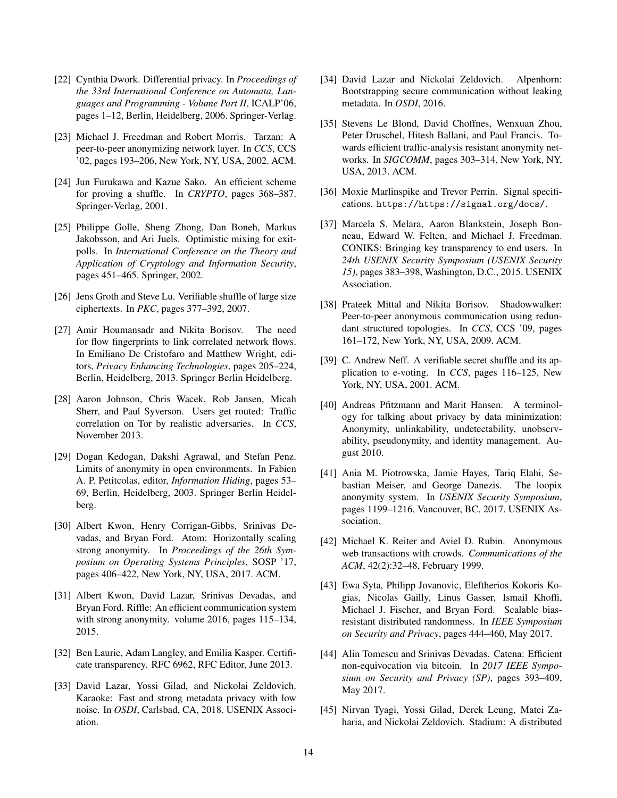- <span id="page-13-5"></span>[22] Cynthia Dwork. Differential privacy. In *Proceedings of the 33rd International Conference on Automata, Languages and Programming - Volume Part II*, ICALP'06, pages 1–12, Berlin, Heidelberg, 2006. Springer-Verlag.
- <span id="page-13-11"></span>[23] Michael J. Freedman and Robert Morris. Tarzan: A peer-to-peer anonymizing network layer. In *CCS*, CCS '02, pages 193–206, New York, NY, USA, 2002. ACM.
- <span id="page-13-21"></span>[24] Jun Furukawa and Kazue Sako. An efficient scheme for proving a shuffle. In *CRYPTO*, pages 368–387. Springer-Verlag, 2001.
- <span id="page-13-23"></span>[25] Philippe Golle, Sheng Zhong, Dan Boneh, Markus Jakobsson, and Ari Juels. Optimistic mixing for exitpolls. In *International Conference on the Theory and Application of Cryptology and Information Security*, pages 451–465. Springer, 2002.
- <span id="page-13-22"></span>[26] Jens Groth and Steve Lu. Verifiable shuffle of large size ciphertexts. In *PKC*, pages 377–392, 2007.
- <span id="page-13-9"></span>[27] Amir Houmansadr and Nikita Borisov. The need for flow fingerprints to link correlated network flows. In Emiliano De Cristofaro and Matthew Wright, editors, *Privacy Enhancing Technologies*, pages 205–224, Berlin, Heidelberg, 2013. Springer Berlin Heidelberg.
- <span id="page-13-8"></span>[28] Aaron Johnson, Chris Wacek, Rob Jansen, Micah Sherr, and Paul Syverson. Users get routed: Traffic correlation on Tor by realistic adversaries. In *CCS*, November 2013.
- <span id="page-13-17"></span>[29] Dogan Kedogan, Dakshi Agrawal, and Stefan Penz. Limits of anonymity in open environments. In Fabien A. P. Petitcolas, editor, *Information Hiding*, pages 53– 69, Berlin, Heidelberg, 2003. Springer Berlin Heidelberg.
- <span id="page-13-6"></span>[30] Albert Kwon, Henry Corrigan-Gibbs, Srinivas Devadas, and Bryan Ford. Atom: Horizontally scaling strong anonymity. In *Proceedings of the 26th Symposium on Operating Systems Principles*, SOSP '17, pages 406–422, New York, NY, USA, 2017. ACM.
- <span id="page-13-1"></span>[31] Albert Kwon, David Lazar, Srinivas Devadas, and Bryan Ford. Riffle: An efficient communication system with strong anonymity. volume 2016, pages 115–134, 2015.
- <span id="page-13-14"></span>[32] Ben Laurie, Adam Langley, and Emilia Kasper. Certificate transparency. RFC 6962, RFC Editor, June 2013.
- <span id="page-13-4"></span>[33] David Lazar, Yossi Gilad, and Nickolai Zeldovich. Karaoke: Fast and strong metadata privacy with low noise. In *OSDI*, Carlsbad, CA, 2018. USENIX Association.
- <span id="page-13-18"></span>[34] David Lazar and Nickolai Zeldovich. Alpenhorn: Bootstrapping secure communication without leaking metadata. In *OSDI*, 2016.
- <span id="page-13-12"></span>[35] Stevens Le Blond, David Choffnes, Wenxuan Zhou, Peter Druschel, Hitesh Ballani, and Paul Francis. Towards efficient traffic-analysis resistant anonymity networks. In *SIGCOMM*, pages 303–314, New York, NY, USA, 2013. ACM.
- <span id="page-13-0"></span>[36] Moxie Marlinspike and Trevor Perrin. Signal specifications. <https://https://signal.org/docs/>.
- <span id="page-13-15"></span>[37] Marcela S. Melara, Aaron Blankstein, Joseph Bonneau, Edward W. Felten, and Michael J. Freedman. CONIKS: Bringing key transparency to end users. In *24th USENIX Security Symposium (USENIX Security 15)*, pages 383–398, Washington, D.C., 2015. USENIX Association.
- <span id="page-13-10"></span>[38] Prateek Mittal and Nikita Borisov. Shadowwalker: Peer-to-peer anonymous communication using redundant structured topologies. In *CCS*, CCS '09, pages 161–172, New York, NY, USA, 2009. ACM.
- <span id="page-13-20"></span>[39] C. Andrew Neff. A verifiable secret shuffle and its application to e-voting. In *CCS*, pages 116–125, New York, NY, USA, 2001. ACM.
- <span id="page-13-7"></span>[40] Andreas Pfitzmann and Marit Hansen. A terminology for talking about privacy by data minimization: Anonymity, unlinkability, undetectability, unobservability, pseudonymity, and identity management. August 2010.
- <span id="page-13-13"></span>[41] Ania M. Piotrowska, Jamie Hayes, Tariq Elahi, Sebastian Meiser, and George Danezis. The loopix anonymity system. In *USENIX Security Symposium*, pages 1199–1216, Vancouver, BC, 2017. USENIX Association.
- <span id="page-13-2"></span>[42] Michael K. Reiter and Aviel D. Rubin. Anonymous web transactions with crowds. *Communications of the ACM*, 42(2):32–48, February 1999.
- <span id="page-13-19"></span>[43] Ewa Syta, Philipp Jovanovic, Eleftherios Kokoris Kogias, Nicolas Gailly, Linus Gasser, Ismail Khoffi, Michael J. Fischer, and Bryan Ford. Scalable biasresistant distributed randomness. In *IEEE Symposium on Security and Privacy*, pages 444–460, May 2017.
- <span id="page-13-16"></span>[44] Alin Tomescu and Srinivas Devadas. Catena: Efficient non-equivocation via bitcoin. In *2017 IEEE Symposium on Security and Privacy (SP)*, pages 393–409, May 2017.
- <span id="page-13-3"></span>[45] Nirvan Tyagi, Yossi Gilad, Derek Leung, Matei Zaharia, and Nickolai Zeldovich. Stadium: A distributed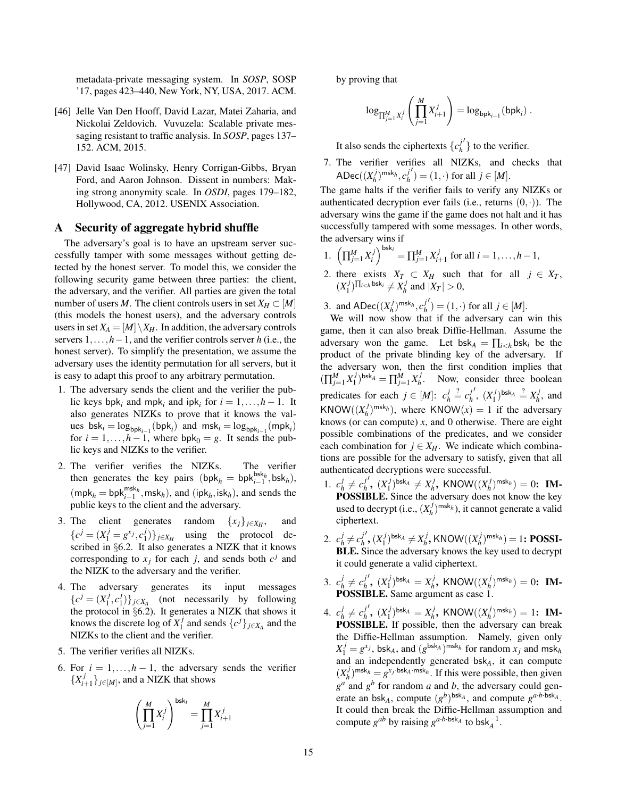metadata-private messaging system. In *SOSP*, SOSP '17, pages 423–440, New York, NY, USA, 2017. ACM.

- <span id="page-14-1"></span>[46] Jelle Van Den Hooff, David Lazar, Matei Zaharia, and Nickolai Zeldovich. Vuvuzela: Scalable private messaging resistant to traffic analysis. In *SOSP*, pages 137– 152. ACM, 2015.
- <span id="page-14-0"></span>[47] David Isaac Wolinsky, Henry Corrigan-Gibbs, Bryan Ford, and Aaron Johnson. Dissent in numbers: Making strong anonymity scale. In *OSDI*, pages 179–182, Hollywood, CA, 2012. USENIX Association.

# <span id="page-14-2"></span>A Security of aggregate hybrid shuffle

The adversary's goal is to have an upstream server successfully tamper with some messages without getting detected by the honest server. To model this, we consider the following security game between three parties: the client, the adversary, and the verifier. All parties are given the total number of users *M*. The client controls users in set  $X_H \subset [M]$ (this models the honest users), and the adversary controls users in set  $X_A = [M] \setminus X_H$ . In addition, the adversary controls servers 1,...,*h*−1, and the verifier controls server *h* (i.e., the honest server). To simplify the presentation, we assume the adversary uses the identity permutation for all servers, but it is easy to adapt this proof to any arbitrary permutation.

- 1. The adversary sends the client and the verifier the public keys  $bph_i$  and  $mph_i$  and  $ipk_i$  for  $i = 1, ..., h - 1$ . It also generates NIZKs to prove that it knows the val- $\text{ues}\ \text{bsk}_i = \log_{\text{bpk}_{i-1}}(\text{bpk}_i)$  and  $\text{msk}_i = \log_{\text{bpk}_{i-1}}(\text{mpk}_i)$ for  $i = 1, ..., h - 1$ , where  $bpk_0 = g$ . It sends the public keys and NIZKs to the verifier.
- 2. The verifier verifies the NIZKs. The verifier then generates the key pairs (bpk<sub>*h*</sub> = bpk<sup>bsk<sub>*h*</sub></sub>, bsk<sub>*h*</sub>),</sup>  $(\text{mpk}_h = \text{bpk}_{i-1}^{\text{msk}_h}, \text{msk}_h)$ , and  $(\text{ipk}_h, \text{isk}_h)$ , and sends the public keys to the client and the adversary.
- 3. The client generates random  $\{x_j\}_{j\in X_H}$ , , and  ${c}^{j} = (X_1^j = g^{x_j}, c_1^j)$  $\{1\}\}j\in X_H$  using the protocol described in §[6.2.](#page-6-2) It also generates a NIZK that it knows corresponding to  $x_j$  for each *j*, and sends both  $c^j$  and the NIZK to the adversary and the verifier.
- <span id="page-14-3"></span>4. The adversary generates its input messages  ${c}^{j} = (X_1^j)$  $\frac{j}{1}, c_1^j$  $\{f\}\}_{j\in X_A}$  (not necessarily by following the protocol in §[6.2\)](#page-6-2). It generates a NIZK that shows it knows the discrete log of  $X_1^j$  $\{c^j\}_{j \in X_A}$  and the NIZKs to the client and the verifier.
- 5. The verifier verifies all NIZKs.
- 6. For  $i = 1, ..., h 1$ , the adversary sends the verifier  ${X_i^j}$  $\{f_{i+1}^{(j)}\}_{j\in[M]}$ , and a NIZK that shows

$$
\left(\prod_{j=1}^{M} X_{i}^{j}\right)^{\text{bsk}_{i}} = \prod_{j=1}^{M} X_{i+1}^{j}
$$

by proving that

$$
\log_{\prod_{j=1}^{M} X_i^j} \left( \prod_{j=1}^{M} X_{i+1}^j \right) = \log_{\text{bpk}_{i-1}}(\text{bpk}_i) .
$$

It also sends the ciphertexts  $\{c_h^j\}$ *h*  $\left\langle \right\rangle$  to the verifier.

7. The verifier verifies all NIZKs, and checks that  $\mathsf{ADec}((X^j_h$  $\binom{m}{h}^{\text{msk}}$ *n*,  $c_h^j$ *h*  $j'$ ) = (1, ·) for all  $j \in [M]$ .

The game halts if the verifier fails to verify any NIZKs or authenticated decryption ever fails (i.e., returns  $(0, \cdot)$ ). The adversary wins the game if the game does not halt and it has successfully tampered with some messages. In other words, the adversary wins if

- 1.  $\left(\prod_{j=1}^{M} X_i^j\right)^{\text{bsk}_i} = \prod_{j=1}^{M} X_i^j$  $i$ <sup>*i*</sup>+1</sup> for all *i* = 1, . . . , *h* − 1,
- 2. there exists  $X_T \subset X_H$  such that for all  $j \in X_T$ ,  $(X_1^j)$  $\sum_{1}^{j}$ ] $\Pi_{i bsk<sub>i</sub></sup>  $\neq X_h^j$$  $\binom{J}{h}$  and  $|X_T| > 0$ ,

3. and  $\text{ADec}((X_h^j))$  $\binom{m}{h}^{\text{msk}}$ *n*,  $c_h^j$ *h*  $j'$ ) = (1, ·) for all  $j \in [M]$ .

We will now show that if the adversary can win this game, then it can also break Diffie-Hellman. Assume the adversary won the game. Let  $bsk_A = \prod_{i \leq h} bsk_i$  be the product of the private blinding key of the adversary. If the adversary won, then the first condition implies that  $(\prod_{j=1}^{M} X_1^j)$  $(\sum_{1}^{j})^{\text{bsk}}A = \prod_{j=1}^{M} X_{h}^{j}$  $h_h^{\prime}$ . Now, consider three boolean predicates for each  $j \in [M]$ :  $c_h^j$  $\frac{j}{h} \stackrel{?}{=} c_h^j$ *h*  $'$ ,  $(X_1^j)$  $\binom{j}{1}$ bsk $A \stackrel{?}{=} X_h^j$  $h$ <sup>*h*</sup>, and  $KNOW((X_h^j$  $\binom{n}{h}^{m \le k_h}$ , where KNOW $(x) = 1$  if the adversary knows (or can compute) *x*, and 0 otherwise. There are eight possible combinations of the predicates, and we consider each combination for  $j \in X_H$ . We indicate which combinations are possible for the adversary to satisfy, given that all authenticated decryptions were successful.

- 1.  $c_h^j$  $\frac{j}{h} \neq c_h^j$ *h*  $\int$ ,  $(X_1^j)$  $\binom{j}{1}$ bsk $A \neq X_h^j$  $\alpha_h^{j}$ , KNOW $((X_h^j)$  $(n_h^{(j)})^{\text{msk}}_h$ ) = 0: **IM-**POSSIBLE. Since the adversary does not know the key used to decrypt (i.e.,  $(X_h^j)$  $(n_h^j)^{\text{msk}_h}$ ), it cannot generate a valid ciphertext.
- 2.  $c_h^j$  $j_h^j \neq c_h^j$ *h*  $', (X_1^j)$  $\binom{j}{1}$ bsk $A \neq X_h^j$  $\frac{d}{dt}$ , KNOW $((X_h^j)$  $\binom{n}{h}^{\sf{msk}}(h) = 1$ : **POSSI-**BLE. Since the adversary knows the key used to decrypt it could generate a valid ciphertext.
- 3.  $c_h^j$  $\frac{j}{h} \neq c_h^j$ *h*  $\int$ ,  $(X_1^j)$  $(X_1^j)^{\text{bsk}_A} = X_h^j$  $\mathcal{C}_h^j$ , KNOW $((X_h^j)$  $\binom{n}{h}^{\text{msk}}_h$  = 0: **IM-**POSSIBLE. Same argument as case 1.
- 4. *c j*  $\frac{j}{h} \neq c_h^j$ *h*  $\int$ ,  $(X_1^j)$  $(X_1^j)^{\text{bsk}_A} = X_h^j$  $\mathcal{C}_h^j$ , KNOW $((X_h^j)$  $\binom{n}{h}^{\text{msk}}_h$  = 1: **IM-**POSSIBLE. If possible, then the adversary can break the Diffie-Hellman assumption. Namely, given only  $X_1^j = g^{x_j}$ , bsk<sub>*A*</sub>, and  $(g^{bsk_A})^{\text{msk}_h}$  for random  $x_j$  and msk<sub>*h*</sub> and an independently generated bsk*A*, it can compute  $(X_h^j)$  $h_h^{j}$ <sup> $\mathbf{m}$ sk<sub>*h*</sub> =  $g^{x_j \cdot \text{bsk}_A \cdot \text{msk}_h}$ . If this were possible, then given</sup>  $g^a$  and  $g^b$  for random *a* and *b*, the adversary could generate an bsk<sub>A</sub>, compute  $(g^b)$ <sup>bsk</sup><sub>A</sub>, and compute  $g^{a \cdot b \cdot b s k_A}$ . It could then break the Diffie-Hellman assumption and compute  $g^{ab}$  by raising  $g^{a \cdot b \cdot \text{bsk}_A}$  to  $\text{bsk}_A^{-1}$ .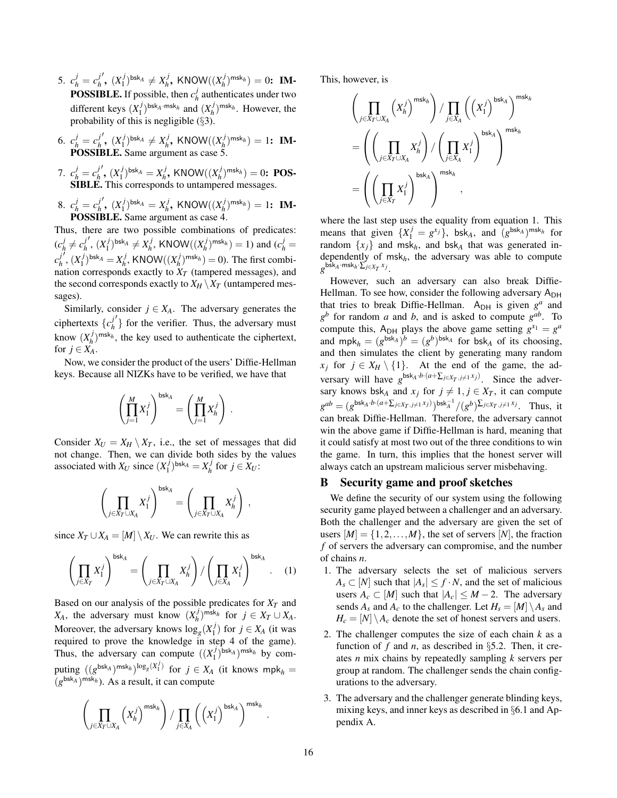- 5.  $c_h^j = c_h^j$ *h*  $'$ ,  $(X_1^j)$  $(X_1^j)^{\text{bsk}_A} \neq X_h^j$  $\sum_{h}^{j}$ , KNOW $((X_h^j)$  $\binom{n}{h}^{\text{msk}}_h$  = 0: **IM-POSSIBLE.** If possible, then  $c_h^j$  $\frac{J}{h}$  authenticates under two different keys (*X j*  $\binom{j}{1}$ <sup>bsk</sup>A·msk<sub>h</sub></sub> and  $\binom{X^j_h}{h}$  $(h)$ <sup> $(n)$ </sup> msk<sub>*h*</sub>. However, the probability of this is negligible  $(\S 3)$  $(\S 3)$ .
- 6.  $c_h^j = c_h^j$ *h*  $', (X_1^j)$  $\binom{j}{1}$ bsk $A \neq X_h^j$  $\alpha_h^{j}$ , KNOW $((X_h^j)$  $\binom{n}{h}^{\text{msk}}_h$  = 1: **IM-**POSSIBLE. Same argument as case 5.
- 7.  $c_h^j = c_h^j$ *h*  $'$ ,  $(X_1^j)$  $(X_1^j)^{\text{bsk}_A} = X_h^j$  $\alpha_h^{j}$ , KNOW $((X_h^j)$  $\binom{n}{h}^{\text{msk}}_h$  = 0: **POS-**SIBLE. This corresponds to untampered messages.
- 8.  $c_h^j = c_h^j$ *h*  $'$ ,  $(X_1^j)$  $(X_1^j)^{\text{bsk}_A} = X_h^j$  $\alpha_h^{j}$ , KNOW $((X_h^j)$  $(n_h^{(j)})^{\text{msk}} = 1$ : **IM-**POSSIBLE. Same argument as case 4.

Thus, there are two possible combinations of predicates:  $(c_h^j)$  $\frac{j}{h} \neq c_h^j$ *h*  $'$ ,  $(X_1^j)$  $\binom{j}{1}$ bsk $A \neq X_h^j$  $\frac{d}{dt}$ , KNOW $((X_h^j)$  $(n_h^j)^{\text{msk}_h}$ ) = 1) and ( $c_h^j$  = *c j h*  $\frac{1}{2}$ ,  $(X_1^j)$  $\binom{j}{1}$ bsk $A = X_h^j$  $\frac{d}{dt}$ , KNOW $((X_h^j)$  $\binom{n}{h}^{\text{msk}}(h) = 0$ . The first combination corresponds exactly to  $X_T$  (tampered messages), and the second corresponds exactly to  $X_H \setminus X_T$  (untampered messages).

Similarly, consider  $j \in X_A$ . The adversary generates the ciphertexts  ${c<sub>h</sub>}$ *h*  $\left\langle \right\rangle$  for the verifier. Thus, the adversary must know  $(X_h^j)$  $h_h^{(j)}$ <sup>msk<sub>h</sub></sub>, the key used to authenticate the ciphertext,</sup> for  $j \in X_A$ .

Now, we consider the product of the users' Diffie-Hellman keys. Because all NIZKs have to be verified, we have that

$$
\left(\prod_{j=1}^M X_1^j\right)^{\mathsf{bsk}_A} = \left(\prod_{j=1}^M X_h^j\right) \, .
$$

Consider  $X_U = X_H \setminus X_T$ , i.e., the set of messages that did not change. Then, we can divide both sides by the values associated with  $X_U$  since  $(X_1^j)$  $\binom{j}{1}$ bsk $A = X_h^j$  $\int_h^J$  for  $j \in X_U$ :

$$
\left(\prod_{j\in X_T\cup X_A} X_1^j\right)^{\mathsf{bsk}_A} = \left(\prod_{j\in X_T\cup X_A} X_n^j\right) ,
$$

since  $X_T \cup X_A = [M] \setminus X_U$ . We can rewrite this as

<span id="page-15-1"></span>
$$
\left(\prod_{j\in X_T} X_1^j\right)^{\text{bsk}_A} = \left(\prod_{j\in X_T\cup X_A} X_n^j\right) / \left(\prod_{j\in X_A} X_1^j\right)^{\text{bsk}_A} . \quad (1)
$$

Based on our analysis of the possible predicates for *X<sup>T</sup>* and  $X_A$ , the adversary must know  $(X_h^j)$ *h* ) msk*<sup>h</sup>* for *j* ∈ *X<sup>T</sup>* ∪ *XA*. Moreover, the adversary knows  $\log_g(X_1^j)$  $I_1^{\prime}$ ) for  $j \in X_A$  (it was required to prove the knowledge in step [4](#page-14-3) of the game). Thus, the adversary can compute  $((X_1)^T)$  $\binom{1}{1}$ <sup>bsk</sup>A )<sup>msk<sub>h</sub> by com-</sup> puting  $((g^{bsk_A})^{msk_h})^{log_g(X_1^j)}$  for  $j \in X_A$  (it knows mpk<sub>h</sub> = (*g* bsk*<sup>A</sup>* ) msk*<sup>h</sup>* ). As a result, it can compute

$$
\left(\prod_{j\in X_{T}\cup X_{A}}\left(X_{h}^{j}\right)^{\mathsf{msk}_h}\right)/\prod_{j\in X_{A}}\left(\left(X_{1}^{j}\right)^{\mathsf{bsk}_A}\right)^{\mathsf{msk}_h}
$$

This, however, is

$$
\begin{split} &\left(\prod_{j\in X_T\cup X_A}\left(X_h^j\right)^{\mathsf{msk}_h}\right)/\prod_{j\in X_A}\left(\left(X_1^j\right)^{\mathsf{bsk}_A}\right)^{\mathsf{msk}_h}\\ &=\left(\left(\prod_{j\in X_T\cup X_A}X_h^j\right)/\left(\prod_{j\in X_A}X_1^j\right)^{\mathsf{bsk}_A}\right)^{\mathsf{msk}_h}\\ &=\left(\left(\prod_{j\in X_T}X_1^j\right)^{\mathsf{bsk}_A}\right)^{\mathsf{msk}_h}\,, \end{split}
$$

where the last step uses the equality from equation [1.](#page-15-1) This means that given  $\{X_1^j = g^{x_j}\}$ , bsk<sub>*A*</sub>, and  $(g^{bsk_A})^{msk_h}$  for random  $\{x_i\}$  and msk<sub>h</sub>, and bsk<sub>A</sub> that was generated independently of msk*h*, the adversary was able to compute  $g^{\mathsf{bsk}_A\cdot\mathsf{msk}_h\cdot\sum_{j\in X_T} x_j}$ .

However, such an adversary can also break Diffie-Hellman. To see how, consider the following adversary A<sub>DH</sub> that tries to break Diffie-Hellman.  $A_{DH}$  is given  $g^a$  and  $g^b$  for random *a* and *b*, and is asked to compute  $g^{ab}$ . To compute this,  $A_{DH}$  plays the above game setting  $g^{x_1} = g^a$ and  $mpk_h = (g^{bsk_A})^b = (g^b)^{bsk_A}$  for bsk<sub>*A*</sub> of its choosing, and then simulates the client by generating many random *x*<sup>*j*</sup> for  $j \in X_H \setminus \{1\}$ . At the end of the game, the adversary will have  $g^{\text{bsk}_A \cdot b \cdot (a + \sum_{j \in X_T, j \neq 1} x_j)}$ . Since the adversary knows bsk<sub>*A*</sub> and  $x_j$  for  $j \neq 1, j \in X_T$ , it can compute  $g^{ab} = (g^{\text{bsk}_A \cdot b \cdot (a + \sum_{j \in X_T, j \neq 1} x_j)})^{\text{bsk}_A^{-1}} / (g^b)^{\sum_{j \in X_T, j \neq 1} x_j}$ . Thus, it can break Diffie-Hellman. Therefore, the adversary cannot win the above game if Diffie-Hellman is hard, meaning that it could satisfy at most two out of the three conditions to win the game. In turn, this implies that the honest server will always catch an upstream malicious server misbehaving.

#### <span id="page-15-0"></span>B Security game and proof sketches

We define the security of our system using the following security game played between a challenger and an adversary. Both the challenger and the adversary are given the set of users  $[M] = \{1, 2, ..., M\}$ , the set of servers [N], the fraction *f* of servers the adversary can compromise, and the number of chains *n*.

- 1. The adversary selects the set of malicious servers  $A_s \subset [N]$  such that  $|A_s| \leq f \cdot N$ , and the set of malicious users  $A_c \subset [M]$  such that  $|A_c| \leq M - 2$ . The adversary sends  $A_s$  and  $A_c$  to the challenger. Let  $H_s = [M] \setminus A_s$  and  $H_c = [N] \setminus A_c$  denote the set of honest servers and users.
- 2. The challenger computes the size of each chain *k* as a function of  $f$  and  $n$ , as described in §[5.2.](#page-4-4) Then, it creates *n* mix chains by repeatedly sampling *k* servers per group at random. The challenger sends the chain configurations to the adversary.
- <span id="page-15-2"></span>3. The adversary and the challenger generate blinding keys, mixing keys, and inner keys as described in §[6.1](#page-6-3) and Appendix [A.](#page-14-2)

.